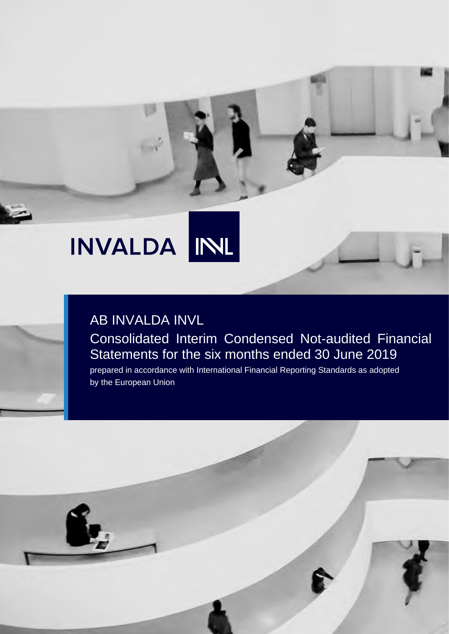# INL **INVALDA**

# AB INVALDA INVL Consolidated Interim Condensed Not-audited Financial Statements for the six months ended 30 June 2019

prepared in accordance with International Financial Reporting Standards as adopted by the European Union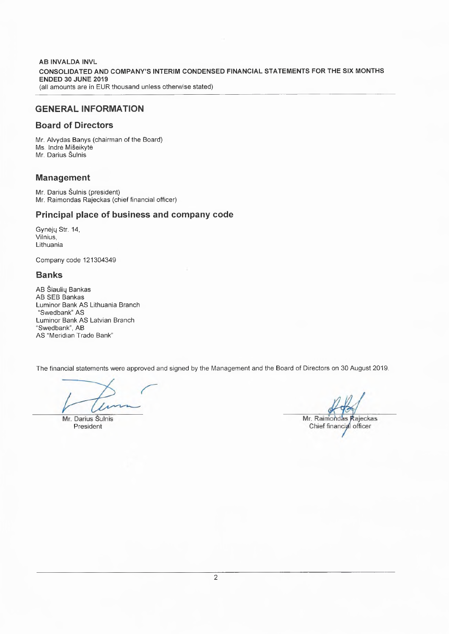**AB INVALDA INVL** CONSOLIDATED AND COMPANY'S INTERIM CONDENSED FINANCIAL STATEMENTS FOR THE SIX MONTHS **ENDED 30 JUNE 2019** (all amounts are in EUR thousand unless otherwise stated)

### **GENERAL INFORMATION**

### **Board of Directors**

Mr. Alvydas Banys (chairman of the Board) Ms. Indrė Mišeikyte Mr. Darius Šulnis

### **Management**

Mr. Darius Šulnis (president) Mr. Raimondas Rajeckas (chief financial officer)

### Principal place of business and company code

Gynėjų Str. 14, Vilnius. Lithuania

Company code 121304349

### **Banks**

AB Šiaulių Bankas AB SEB Bankas Luminor Bank AS Lithuania Branch "Swedbank" AS Luminor Bank AS Latvian Branch "Swedbank", AB AS "Meridian Trade Bank"

The financial statements were approved and signed by the Management and the Board of Directors on 30 August 2019.

' x

Mr. Darius Šulnis President

Mr. Raimondas Rajeckas Chief financial officer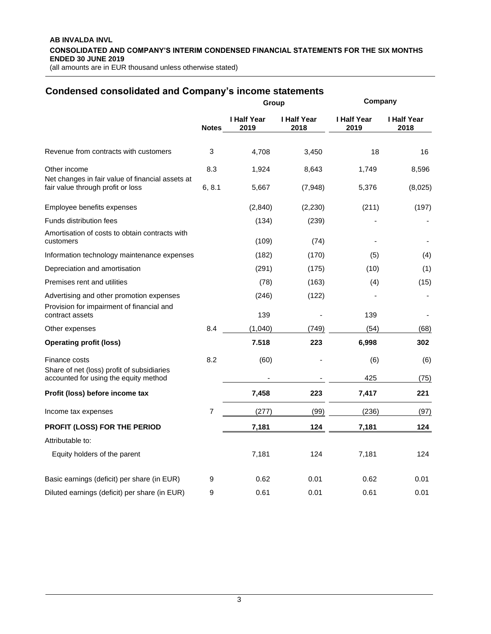#### **AB INVALDA INVL CONSOLIDATED AND COMPANY'S INTERIM CONDENSED FINANCIAL STATEMENTS FOR THE SIX MONTHS ENDED 30 JUNE 2019** (all amounts are in EUR thousand unless otherwise stated)

| <b>Condensed consolidated and Company's income statements</b>                         |              | Group               |                            | Company             |                     |  |
|---------------------------------------------------------------------------------------|--------------|---------------------|----------------------------|---------------------|---------------------|--|
|                                                                                       | <b>Notes</b> | I Half Year<br>2019 | <b>I Half Year</b><br>2018 | I Half Year<br>2019 | I Half Year<br>2018 |  |
| Revenue from contracts with customers                                                 | 3            | 4,708               | 3,450                      | 18                  | 16                  |  |
| Other income                                                                          | 8.3          | 1,924               | 8,643                      | 1,749               | 8,596               |  |
| Net changes in fair value of financial assets at<br>fair value through profit or loss | 6, 8.1       | 5,667               | (7,948)                    | 5,376               | (8,025)             |  |
| Employee benefits expenses                                                            |              | (2,840)             | (2, 230)                   | (211)               | (197)               |  |
| Funds distribution fees                                                               |              | (134)               | (239)                      |                     |                     |  |
| Amortisation of costs to obtain contracts with<br>customers                           |              | (109)               | (74)                       |                     |                     |  |
| Information technology maintenance expenses                                           |              | (182)               | (170)                      | (5)                 | (4)                 |  |
| Depreciation and amortisation                                                         |              | (291)               | (175)                      | (10)                | (1)                 |  |
| Premises rent and utilities                                                           |              | (78)                | (163)                      | (4)                 | (15)                |  |
| Advertising and other promotion expenses                                              |              | (246)               | (122)                      |                     |                     |  |
| Provision for impairment of financial and<br>contract assets                          |              | 139                 |                            | 139                 |                     |  |
| Other expenses                                                                        | 8.4          | (1,040)             | (749)                      | (54)                | (68)                |  |
| <b>Operating profit (loss)</b>                                                        |              | 7.518               | 223                        | 6,998               | 302                 |  |
| Finance costs                                                                         | 8.2          | (60)                |                            | (6)                 | (6)                 |  |
| Share of net (loss) profit of subsidiaries<br>accounted for using the equity method   |              |                     |                            | 425                 | (75)                |  |
| Profit (loss) before income tax                                                       |              | 7,458               | 223                        | 7,417               | 221                 |  |
| Income tax expenses                                                                   | 7            | (277)               | (99)                       | (236)               | (97)                |  |
| PROFIT (LOSS) FOR THE PERIOD                                                          |              | 7,181               | 124                        | 7,181               | 124                 |  |
| Attributable to:                                                                      |              |                     |                            |                     |                     |  |
| Equity holders of the parent                                                          |              | 7,181               | 124                        | 7,181               | 124                 |  |
| Basic earnings (deficit) per share (in EUR)                                           | 9            | 0.62                | 0.01                       | 0.62                | 0.01                |  |
| Diluted earnings (deficit) per share (in EUR)                                         | 9            | 0.61                | 0.01                       | 0.61                | 0.01                |  |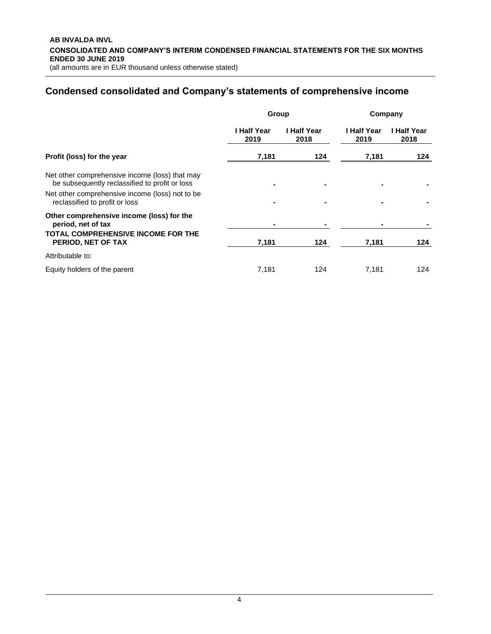# **Condensed consolidated and Company's statements of comprehensive income**

|                                                                                                  | Group               |                     | Company             |                     |  |
|--------------------------------------------------------------------------------------------------|---------------------|---------------------|---------------------|---------------------|--|
|                                                                                                  | l Half Year<br>2019 | I Half Year<br>2018 | I Half Year<br>2019 | I Half Year<br>2018 |  |
| Profit (loss) for the year                                                                       | 7,181               | 124                 | 7,181               | 124                 |  |
| Net other comprehensive income (loss) that may<br>be subsequently reclassified to profit or loss |                     |                     |                     |                     |  |
| Net other comprehensive income (loss) not to be<br>reclassified to profit or loss                |                     |                     |                     |                     |  |
| Other comprehensive income (loss) for the<br>period, net of tax                                  |                     |                     |                     |                     |  |
| TOTAL COMPREHENSIVE INCOME FOR THE<br>PERIOD, NET OF TAX                                         | 7,181               | 124                 | 7,181               | 124                 |  |
| Attributable to:                                                                                 |                     |                     |                     |                     |  |
| Equity holders of the parent                                                                     | 7,181               | 124                 | 7,181               | 124                 |  |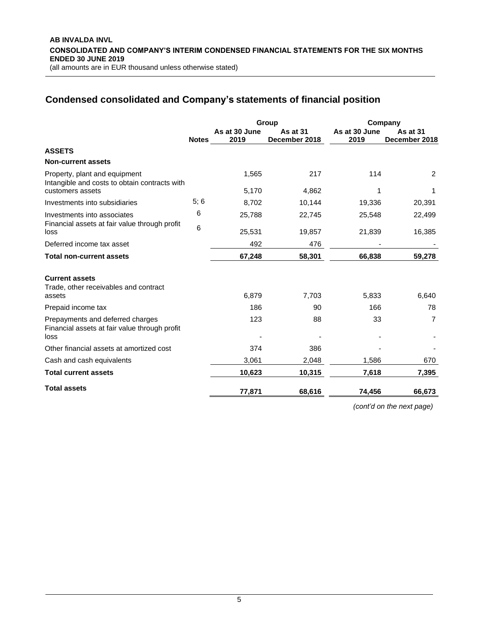# **Condensed consolidated and Company's statements of financial position**

|                                                                                                    |              |                       | Group                     | Company               |                                  |  |
|----------------------------------------------------------------------------------------------------|--------------|-----------------------|---------------------------|-----------------------|----------------------------------|--|
|                                                                                                    | <b>Notes</b> | As at 30 June<br>2019 | As at 31<br>December 2018 | As at 30 June<br>2019 | <b>As at 31</b><br>December 2018 |  |
| <b>ASSETS</b>                                                                                      |              |                       |                           |                       |                                  |  |
| <b>Non-current assets</b>                                                                          |              |                       |                           |                       |                                  |  |
| Property, plant and equipment<br>Intangible and costs to obtain contracts with<br>customers assets |              | 1,565<br>5,170        | 217<br>4,862              | 114<br>1              | 2<br>1                           |  |
|                                                                                                    | 5:6          |                       |                           |                       |                                  |  |
| Investments into subsidiaries                                                                      |              | 8,702                 | 10,144                    | 19,336                | 20,391                           |  |
| Investments into associates                                                                        | 6            | 25,788                | 22,745                    | 25,548                | 22,499                           |  |
| Financial assets at fair value through profit<br>loss                                              | 6            | 25,531                | 19,857                    | 21,839                | 16,385                           |  |
| Deferred income tax asset                                                                          |              | 492                   | 476                       |                       |                                  |  |
| <b>Total non-current assets</b>                                                                    |              | 67,248                | 58,301                    | 66,838                | 59,278                           |  |
| <b>Current assets</b><br>Trade, other receivables and contract<br>assets                           |              | 6,879                 | 7,703                     | 5,833                 | 6,640                            |  |
| Prepaid income tax                                                                                 |              | 186                   | 90                        | 166                   | 78                               |  |
| Prepayments and deferred charges<br>Financial assets at fair value through profit<br>loss          |              | 123                   | 88                        | 33                    | $\overline{7}$                   |  |
| Other financial assets at amortized cost                                                           |              | 374                   | 386                       |                       |                                  |  |
| Cash and cash equivalents                                                                          |              | 3,061                 | 2,048                     | 1,586                 | 670                              |  |
| <b>Total current assets</b>                                                                        |              | 10,623                | 10,315                    | 7,618                 | 7,395                            |  |
| <b>Total assets</b>                                                                                |              | 77,871                | 68,616                    | 74,456                | 66,673                           |  |

*(cont'd on the next page)*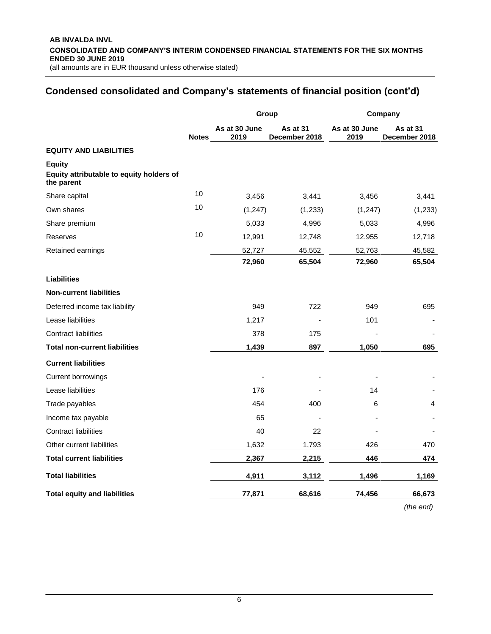## **Condensed consolidated and Company's statements of financial position (cont'd)**

|                                                                         |              |                       | Group                            | Company               |                           |  |  |
|-------------------------------------------------------------------------|--------------|-----------------------|----------------------------------|-----------------------|---------------------------|--|--|
|                                                                         | <b>Notes</b> | As at 30 June<br>2019 | <b>As at 31</b><br>December 2018 | As at 30 June<br>2019 | As at 31<br>December 2018 |  |  |
| <b>EQUITY AND LIABILITIES</b>                                           |              |                       |                                  |                       |                           |  |  |
| <b>Equity</b><br>Equity attributable to equity holders of<br>the parent |              |                       |                                  |                       |                           |  |  |
| Share capital                                                           | 10           | 3,456                 | 3,441                            | 3,456                 | 3,441                     |  |  |
| Own shares                                                              | 10           | (1, 247)              | (1,233)                          | (1, 247)              | (1, 233)                  |  |  |
| Share premium                                                           |              | 5,033                 | 4,996                            | 5,033                 | 4,996                     |  |  |
| <b>Reserves</b>                                                         | 10           | 12,991                | 12,748                           | 12,955                | 12,718                    |  |  |
| Retained earnings                                                       |              | 52,727                | 45,552                           | 52,763                | 45,582                    |  |  |
|                                                                         |              | 72,960                | 65,504                           | 72,960                | 65,504                    |  |  |
| Liabilities                                                             |              |                       |                                  |                       |                           |  |  |
| <b>Non-current liabilities</b>                                          |              |                       |                                  |                       |                           |  |  |
| Deferred income tax liability                                           |              | 949                   | 722                              | 949                   | 695                       |  |  |
| Lease liabilities                                                       |              | 1,217                 |                                  | 101                   |                           |  |  |
| <b>Contract liabilities</b>                                             |              | 378                   | 175                              |                       |                           |  |  |
| <b>Total non-current liabilities</b>                                    |              | 1,439                 | 897                              | 1,050                 | 695                       |  |  |
| <b>Current liabilities</b>                                              |              |                       |                                  |                       |                           |  |  |
| Current borrowings                                                      |              |                       |                                  |                       |                           |  |  |
| Lease liabilities                                                       |              | 176                   |                                  | 14                    |                           |  |  |
| Trade payables                                                          |              | 454                   | 400                              | 6                     | 4                         |  |  |
| Income tax payable                                                      |              | 65                    |                                  |                       |                           |  |  |
| <b>Contract liabilities</b>                                             |              | 40                    | 22                               |                       |                           |  |  |
| Other current liabilities                                               |              | 1,632                 | 1,793                            | 426                   | 470                       |  |  |
| <b>Total current liabilities</b>                                        |              | 2,367                 | 2,215                            | 446                   | 474                       |  |  |
| <b>Total liabilities</b>                                                |              | 4,911                 | 3,112                            | 1,496                 | 1,169                     |  |  |
| <b>Total equity and liabilities</b>                                     |              | 77,871                | 68,616                           | 74,456                | 66,673                    |  |  |
|                                                                         |              |                       |                                  |                       |                           |  |  |

*(the end)*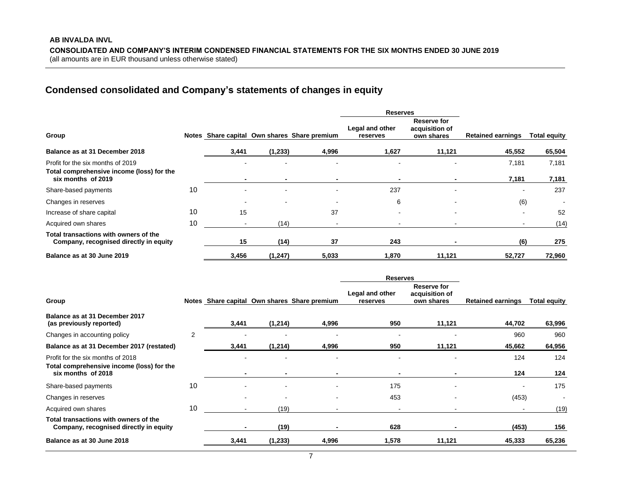# **Condensed consolidated and Company's statements of changes in equity**

|                                                                                                      |    | <b>Reserves</b>                              |                |                          |                             |                                             |                          |                     |
|------------------------------------------------------------------------------------------------------|----|----------------------------------------------|----------------|--------------------------|-----------------------------|---------------------------------------------|--------------------------|---------------------|
| Group                                                                                                |    | Notes Share capital Own shares Share premium |                |                          | Legal and other<br>reserves | Reserve for<br>acquisition of<br>own shares | <b>Retained earnings</b> | <b>Total equity</b> |
| Balance as at 31 December 2018                                                                       |    | 3,441                                        | (1, 233)       | 4,996                    | 1,627                       | 11,121                                      | 45,552                   | 65,504              |
| Profit for the six months of 2019<br>Total comprehensive income (loss) for the<br>six months of 2019 |    |                                              | $\blacksquare$ |                          | $\,$<br>$\blacksquare$      | $\overline{\phantom{a}}$<br>$\blacksquare$  | 7,181<br>7,181           | 7,181<br>7,181      |
| Share-based payments                                                                                 | 10 |                                              |                |                          | 237                         | $\overline{\phantom{0}}$                    |                          | 237                 |
| Changes in reserves                                                                                  |    |                                              | $\sim$         | $\overline{\phantom{a}}$ | 6                           | $\overline{\phantom{a}}$                    | (6)                      |                     |
| Increase of share capital                                                                            | 10 | 15                                           |                | 37                       |                             |                                             |                          | 52                  |
| Acquired own shares                                                                                  | 10 |                                              | (14)           |                          |                             |                                             |                          | (14)                |
| Total transactions with owners of the<br>Company, recognised directly in equity                      |    | 15                                           | (14)           | 37                       | 243                         |                                             | (6)                      | 275                 |
| Balance as at 30 June 2019                                                                           |    | 3,456                                        | (1, 247)       | 5,033                    | 1,870                       | 11,121                                      | 52,727                   | 72,960              |

|                                                                                                      |                | <b>Reserves</b>          |                          |                                              |                             |                                             |                          |                          |
|------------------------------------------------------------------------------------------------------|----------------|--------------------------|--------------------------|----------------------------------------------|-----------------------------|---------------------------------------------|--------------------------|--------------------------|
| Group                                                                                                |                |                          |                          | Notes Share capital Own shares Share premium | Legal and other<br>reserves | Reserve for<br>acquisition of<br>own shares | <b>Retained earnings</b> | <b>Total equity</b>      |
| Balance as at 31 December 2017<br>(as previously reported)                                           |                | 3,441                    | (1,214)                  | 4,996                                        | 950                         | 11,121                                      | 44,702                   | 63,996                   |
| Changes in accounting policy                                                                         | $\overline{2}$ | $\overline{\phantom{a}}$ | ٠                        | $\overline{\phantom{a}}$                     | $\overline{\phantom{a}}$    | $\overline{\phantom{a}}$                    | 960                      | 960                      |
| Balance as at 31 December 2017 (restated)                                                            |                | 3,441                    | (1,214)                  | 4,996                                        | 950                         | 11,121                                      | 45,662                   | 64,956                   |
| Profit for the six months of 2018<br>Total comprehensive income (loss) for the<br>six months of 2018 |                |                          | $\blacksquare$           |                                              |                             | $\overline{\phantom{a}}$                    | 124<br>124               | 124<br>124               |
| Share-based payments                                                                                 | 10             |                          | $\blacksquare$           |                                              | 175                         | $\overline{\phantom{a}}$                    | $\overline{\phantom{a}}$ | 175                      |
| Changes in reserves                                                                                  |                |                          | $\overline{\phantom{a}}$ |                                              | 453                         |                                             | (453)                    | $\overline{\phantom{a}}$ |
| Acquired own shares                                                                                  | 10             |                          | (19)                     |                                              |                             |                                             |                          | (19)                     |
| Total transactions with owners of the<br>Company, recognised directly in equity                      |                |                          | (19)                     |                                              | 628                         |                                             | (453)                    | 156                      |
| Balance as at 30 June 2018                                                                           |                | 3,441                    | (1,233)                  | 4,996                                        | 1,578                       | 11,121                                      | 45,333                   | 65,236                   |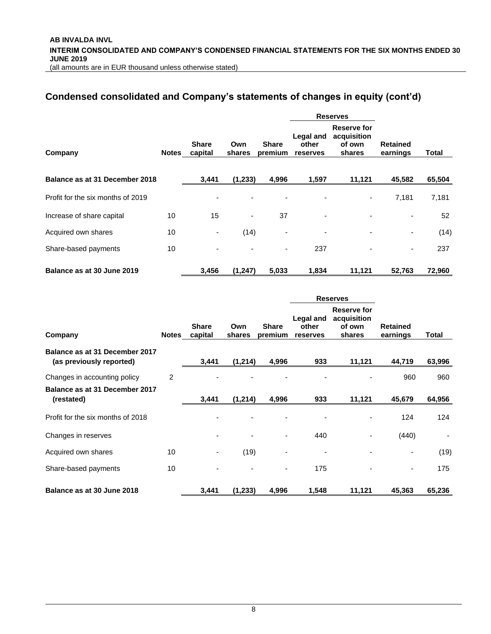# **Condensed consolidated and Company's statements of changes in equity (cont'd)**

|                                   |       |                          |                          |                          |                                              | <b>Reserves</b>                                |                             |        |
|-----------------------------------|-------|--------------------------|--------------------------|--------------------------|----------------------------------------------|------------------------------------------------|-----------------------------|--------|
| Company                           | Notes | <b>Share</b><br>capital  | Own<br>shares            | <b>Share</b><br>premium  | <b>Legal and</b><br>other<br><b>reserves</b> | Reserve for<br>acquisition<br>of own<br>shares | <b>Retained</b><br>earnings | Total  |
| Balance as at 31 December 2018    |       | 3,441                    | (1,233)                  | 4,996                    | 1,597                                        | 11,121                                         | 45,582                      | 65,504 |
| Profit for the six months of 2019 |       |                          |                          |                          |                                              | ٠                                              | 7,181                       | 7,181  |
| Increase of share capital         | 10    | 15                       | $\overline{\phantom{a}}$ | 37                       | ٠                                            |                                                | $\overline{\phantom{0}}$    | 52     |
| Acquired own shares               | 10    | $\overline{\phantom{a}}$ | (14)                     | $\overline{\phantom{0}}$ | ٠                                            |                                                | ٠                           | (14)   |
| Share-based payments              | 10    | $\overline{\phantom{a}}$ | ۰                        | ۰                        | 237                                          |                                                | ۰                           | 237    |
| Balance as at 30 June 2019        |       | 3,456                    | (1, 247)                 | 5,033                    | 1,834                                        | 11,121                                         | 52,763                      | 72,960 |

|                                                            |              |                         |               |                          |                                | <b>Reserves</b>                                       |                             |        |
|------------------------------------------------------------|--------------|-------------------------|---------------|--------------------------|--------------------------------|-------------------------------------------------------|-----------------------------|--------|
| Company                                                    | <b>Notes</b> | <b>Share</b><br>capital | Own<br>shares | <b>Share</b><br>premium  | Legal and<br>other<br>reserves | <b>Reserve for</b><br>acquisition<br>of own<br>shares | <b>Retained</b><br>earnings | Total  |
| Balance as at 31 December 2017<br>(as previously reported) |              | 3,441                   | (1, 214)      | 4,996                    | 933                            | 11,121                                                | 44,719                      | 63,996 |
| Changes in accounting policy                               | 2            |                         |               |                          |                                |                                                       | 960                         | 960    |
| Balance as at 31 December 2017<br>(restated)               |              | 3,441                   | (1, 214)      | 4,996                    | 933                            | 11,121                                                | 45,679                      | 64,956 |
| Profit for the six months of 2018                          |              |                         |               |                          |                                |                                                       | 124                         | 124    |
| Changes in reserves                                        |              |                         |               | $\overline{\phantom{0}}$ | 440                            |                                                       | (440)                       |        |
| Acquired own shares                                        | 10           | ٠                       | (19)          |                          | $\overline{\phantom{a}}$       |                                                       |                             | (19)   |
| Share-based payments                                       | 10           |                         |               |                          | 175                            |                                                       | $\overline{\phantom{a}}$    | 175    |
| Balance as at 30 June 2018                                 |              | 3,441                   | (1,233)       | 4,996                    | 1,548                          | 11,121                                                | 45,363                      | 65,236 |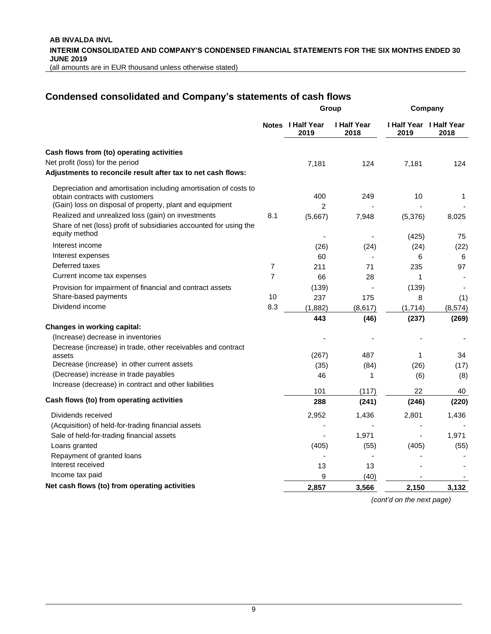# **Condensed consolidated and Company's statements of cash flows**

|                                                                                                                          | Group          |                           |                            | Company   |                                 |
|--------------------------------------------------------------------------------------------------------------------------|----------------|---------------------------|----------------------------|-----------|---------------------------------|
|                                                                                                                          |                | Notes I Half Year<br>2019 | <b>I Half Year</b><br>2018 | 2019      | I Half Year I Half Year<br>2018 |
| Cash flows from (to) operating activities                                                                                |                |                           |                            |           |                                 |
| Net profit (loss) for the period                                                                                         |                | 7,181                     | 124                        | 7,181     | 124                             |
| Adjustments to reconcile result after tax to net cash flows:                                                             |                |                           |                            |           |                                 |
| Depreciation and amortisation including amortisation of costs to                                                         |                |                           |                            |           |                                 |
| obtain contracts with customers                                                                                          |                | 400                       | 249                        | 10        | 1                               |
| (Gain) loss on disposal of property, plant and equipment                                                                 |                | $\overline{2}$            |                            |           |                                 |
| Realized and unrealized loss (gain) on investments<br>Share of net (loss) profit of subsidiaries accounted for using the | 8.1            | (5,667)                   | 7,948                      | (5,376)   | 8,025                           |
| equity method                                                                                                            |                |                           |                            |           |                                 |
| Interest income                                                                                                          |                |                           |                            | (425)     | 75                              |
| Interest expenses                                                                                                        |                | (26)<br>60                | (24)                       | (24)<br>6 | (22)<br>6                       |
| Deferred taxes                                                                                                           | $\overline{7}$ | 211                       | 71                         | 235       | 97                              |
| Current income tax expenses                                                                                              | 7              | 66                        | 28                         | 1         |                                 |
| Provision for impairment of financial and contract assets                                                                |                | (139)                     |                            | (139)     |                                 |
| Share-based payments                                                                                                     | 10             | 237                       | 175                        | 8         | (1)                             |
| Dividend income                                                                                                          | 8.3            | (1,882)                   | (8,617)                    | (1,714)   | (8, 574)                        |
|                                                                                                                          |                | 443                       | (46)                       | (237)     | (269)                           |
| Changes in working capital:                                                                                              |                |                           |                            |           |                                 |
| (Increase) decrease in inventories                                                                                       |                |                           |                            |           |                                 |
| Decrease (increase) in trade, other receivables and contract                                                             |                |                           |                            |           |                                 |
| assets                                                                                                                   |                | (267)                     | 487                        | 1         | 34                              |
| Decrease (increase) in other current assets                                                                              |                | (35)                      | (84)                       | (26)      | (17)                            |
| (Decrease) increase in trade payables                                                                                    |                | 46                        | 1                          | (6)       | (8)                             |
| Increase (decrease) in contract and other liabilities                                                                    |                | 101                       | (117)                      | 22        | 40                              |
| Cash flows (to) from operating activities                                                                                |                | 288                       | (241)                      | (246)     | (220)                           |
| Dividends received                                                                                                       |                | 2,952                     | 1,436                      | 2,801     | 1,436                           |
| (Acquisition) of held-for-trading financial assets                                                                       |                |                           |                            |           |                                 |
| Sale of held-for-trading financial assets                                                                                |                |                           | 1,971                      |           | 1,971                           |
| Loans granted                                                                                                            |                | (405)                     | (55)                       | (405)     | (55)                            |
| Repayment of granted loans                                                                                               |                |                           |                            |           |                                 |
| Interest received                                                                                                        |                | 13                        | 13                         |           |                                 |
| Income tax paid                                                                                                          |                | 9                         | (40)                       |           |                                 |
| Net cash flows (to) from operating activities                                                                            |                | 2.857                     | 3,566                      | 2,150     | 3,132                           |

*(cont'd on the next page)*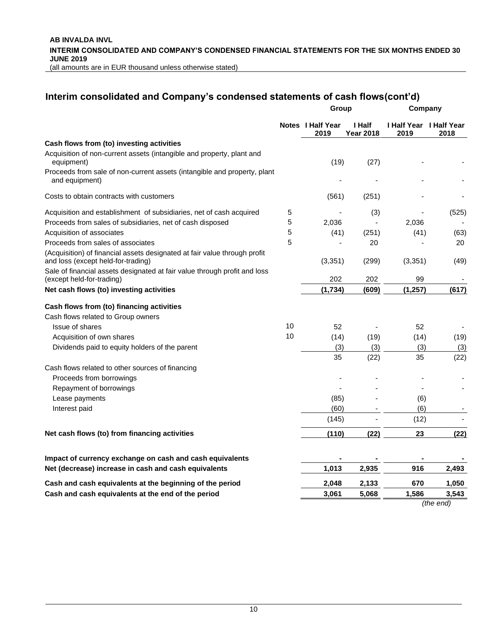**AB INVALDA INVL INTERIM CONSOLIDATED AND COMPANY'S CONDENSED FINANCIAL STATEMENTS FOR THE SIX MONTHS ENDED 30 JUNE 2019** (all amounts are in EUR thousand unless otherwise stated)

### **Interim consolidated and Company's condensed statements of cash flows(cont'd)**

|                                                                                                                 |    | Group                     |                            | Company                                |                          |  |
|-----------------------------------------------------------------------------------------------------------------|----|---------------------------|----------------------------|----------------------------------------|--------------------------|--|
|                                                                                                                 |    | Notes I Half Year<br>2019 | I Half<br><b>Year 2018</b> | <b>I Half Year I Half Year</b><br>2019 | 2018                     |  |
| Cash flows from (to) investing activities                                                                       |    |                           |                            |                                        |                          |  |
| Acquisition of non-current assets (intangible and property, plant and<br>equipment)                             |    | (19)                      | (27)                       |                                        |                          |  |
| Proceeds from sale of non-current assets (intangible and property, plant<br>and equipment)                      |    |                           |                            |                                        |                          |  |
| Costs to obtain contracts with customers                                                                        |    | (561)                     | (251)                      |                                        |                          |  |
| Acquisition and establishment of subsidiaries, net of cash acquired                                             | 5  |                           | (3)                        |                                        | (525)                    |  |
| Proceeds from sales of subsidiaries, net of cash disposed                                                       | 5  | 2,036                     |                            | 2.036                                  |                          |  |
| Acquisition of associates                                                                                       | 5  | (41)                      | (251)                      | (41)                                   | (63)                     |  |
| Proceeds from sales of associates                                                                               | 5  |                           | 20                         |                                        | 20                       |  |
| (Acquisition) of financial assets designated at fair value through profit<br>and loss (except held-for-trading) |    | (3, 351)                  | (299)                      | (3, 351)                               | (49)                     |  |
| Sale of financial assets designated at fair value through profit and loss<br>(except held-for-trading)          |    | 202                       | 202                        | 99                                     | $\overline{\phantom{a}}$ |  |
| Net cash flows (to) investing activities                                                                        |    | (1,734)                   | (609)                      | (1, 257)                               | (617)                    |  |
| Cash flows from (to) financing activities                                                                       |    |                           |                            |                                        |                          |  |
| Cash flows related to Group owners                                                                              |    |                           |                            |                                        |                          |  |
| Issue of shares                                                                                                 | 10 | 52                        |                            | 52                                     |                          |  |
| Acquisition of own shares                                                                                       | 10 | (14)                      | (19)                       | (14)                                   | (19)                     |  |
| Dividends paid to equity holders of the parent                                                                  |    | (3)                       | (3)                        | (3)                                    | (3)                      |  |
|                                                                                                                 |    | 35                        | (22)                       | 35                                     | (22)                     |  |
| Cash flows related to other sources of financing                                                                |    |                           |                            |                                        |                          |  |
| Proceeds from borrowings                                                                                        |    |                           |                            |                                        |                          |  |
| Repayment of borrowings                                                                                         |    |                           |                            |                                        |                          |  |
| Lease payments                                                                                                  |    | (85)                      |                            | (6)                                    |                          |  |
| Interest paid                                                                                                   |    | (60)                      |                            | (6)                                    |                          |  |
|                                                                                                                 |    | (145)                     |                            | (12)                                   |                          |  |
| Net cash flows (to) from financing activities                                                                   |    | (110)                     | (22)                       | 23                                     | (22)                     |  |
| Impact of currency exchange on cash and cash equivalents                                                        |    |                           |                            |                                        |                          |  |
| Net (decrease) increase in cash and cash equivalents                                                            |    | 1.013                     | 2,935                      | 916                                    | 2.493                    |  |
| Cash and cash equivalents at the beginning of the period                                                        |    | 2,048                     | 2,133                      | 670                                    | 1,050                    |  |
| Cash and cash equivalents at the end of the period                                                              |    | 3,061                     | 5,068                      | 1,586                                  | 3,543                    |  |

*(the end)*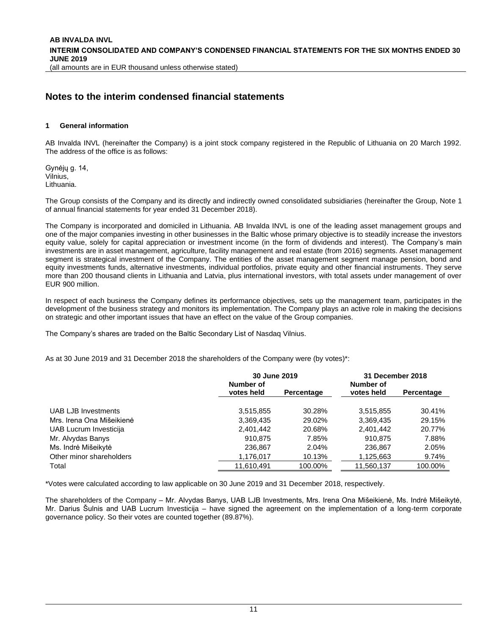### **Notes to the interim condensed financial statements**

#### <span id="page-10-0"></span>**1 General information**

AB Invalda INVL (hereinafter the Company) is a joint stock company registered in the Republic of Lithuania on 20 March 1992. The address of the office is as follows:

Gynėjų g. 14, Vilnius, Lithuania.

The Group consists of the Company and its directly and indirectly owned consolidated subsidiaries (hereinafter the Group, Note 1 of annual financial statements for year ended 31 December 2018).

The Company is incorporated and domiciled in Lithuania. AB Invalda INVL is one of the leading asset management groups and one of the major companies investing in other businesses in the Baltic whose primary objective is to steadily increase the investors equity value, solely for capital appreciation or investment income (in the form of dividends and interest). The Company's main investments are in asset management, agriculture, facility management and real estate (from 2016) segments. Asset management segment is strategical investment of the Company. The entities of the asset management segment manage pension, bond and equity investments funds, alternative investments, individual portfolios, private equity and other financial instruments. They serve more than 200 thousand clients in Lithuania and Latvia, plus international investors, with total assets under management of over EUR 900 million.

In respect of each business the Company defines its performance objectives, sets up the management team, participates in the development of the business strategy and monitors its implementation. The Company plays an active role in making the decisions on strategic and other important issues that have an effect on the value of the Group companies.

The Company's shares are traded on the Baltic Secondary List of Nasdaq Vilnius.

As at 30 June 2019 and 31 December 2018 the shareholders of the Company were (by votes)\*:

|                           | 30 June 2019            |            | 31 December 2018        |            |  |
|---------------------------|-------------------------|------------|-------------------------|------------|--|
|                           | Number of<br>votes held | Percentage | Number of<br>votes held | Percentage |  |
| UAB LJB Investments       | 3,515,855               | 30.28%     | 3,515,855               | 30.41%     |  |
| Mrs. Irena Ona Mišeikienė | 3,369,435               | 29.02%     | 3,369,435               | 29.15%     |  |
| UAB Lucrum Investicija    | 2,401,442               | 20.68%     | 2,401,442               | 20.77%     |  |
| Mr. Alvydas Banys         | 910.875                 | 7.85%      | 910.875                 | 7.88%      |  |
| Ms. Indrė Mišeikytė       | 236,867                 | 2.04%      | 236,867                 | 2.05%      |  |
| Other minor shareholders  | 1,176,017               | 10.13%     | 1,125,663               | 9.74%      |  |
| Total                     | 11.610.491              | 100.00%    | 11.560.137              | 100.00%    |  |

\*Votes were calculated according to law applicable on 30 June 2019 and 31 December 2018, respectively.

The shareholders of the Company – Mr. Alvydas Banys, UAB LJB Investments, Mrs. Irena Ona Mišeikienė, Ms. Indrė Mišeikytė, Mr. Darius Šulnis and UAB Lucrum Investicija – have signed the agreement on the implementation of a long-term corporate governance policy. So their votes are counted together (89.87%).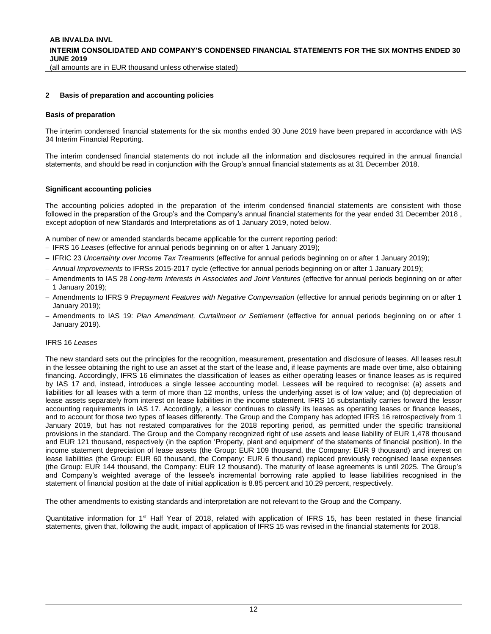#### <span id="page-11-1"></span><span id="page-11-0"></span>**2 Basis of preparation and accounting policies**

#### **Basis of preparation**

The interim condensed financial statements for the six months ended 30 June 2019 have been prepared in accordance with IAS 34 Interim Financial Reporting.

The interim condensed financial statements do not include all the information and disclosures required in the annual financial statements, and should be read in conjunction with the Group's annual financial statements as at 31 December 2018.

#### **Significant accounting policies**

The accounting policies adopted in the preparation of the interim condensed financial statements are consistent with those followed in the preparation of the Group's and the Company's annual financial statements for the year ended 31 December 2018 , except adoption of new Standards and Interpretations as of 1 January 2019, noted below.

A number of new or amended standards became applicable for the current reporting period:

- − IFRS 16 *Leases* (effective for annual periods beginning on or after 1 January 2019);
- − IFRIC 23 *Uncertainty over Income Tax Treatments* (effective for annual periods beginning on or after 1 January 2019);
- − *Annual Improvements* to IFRSs 2015-2017 cycle (effective for annual periods beginning on or after 1 January 2019);
- − Amendments to IAS 28 *Long-term Interests in Associates and Joint Ventures* (effective for annual periods beginning on or after 1 January 2019);
- − Amendments to IFRS 9 *Prepayment Features with Negative Compensation* (effective for annual periods beginning on or after 1 January 2019);
- − Amendments to IAS 19: *Plan Amendment, Curtailment or Settlement* (effective for annual periods beginning on or after 1 January 2019).

#### IFRS 16 *Leases*

The new standard sets out the principles for the recognition, measurement, presentation and disclosure of leases. All leases result in the lessee obtaining the right to use an asset at the start of the lease and, if lease payments are made over time, also obtaining financing. Accordingly, IFRS 16 eliminates the classification of leases as either operating leases or finance leases as is required by IAS 17 and, instead, introduces a single lessee accounting model. Lessees will be required to recognise: (a) assets and liabilities for all leases with a term of more than 12 months, unless the underlying asset is of low value; and (b) depreciation of lease assets separately from interest on lease liabilities in the income statement. IFRS 16 substantially carries forward the lessor accounting requirements in IAS 17. Accordingly, a lessor continues to classify its leases as operating leases or finance leases, and to account for those two types of leases differently. The Group and the Company has adopted IFRS 16 retrospectively from 1 January 2019, but has not restated comparatives for the 2018 reporting period, as permitted under the specific transitional provisions in the standard. The Group and the Company recognized right of use assets and lease liability of EUR 1,478 thousand and EUR 121 thousand, respectively (in the caption 'Property, plant and equipment' of the statements of financial position). In the income statement depreciation of lease assets (the Group: EUR 109 thousand, the Company: EUR 9 thousand) and interest on lease liabilities (the Group: EUR 60 thousand, the Company: EUR 6 thousand) replaced previously recognised lease expenses (the Group: EUR 144 thousand, the Company: EUR 12 thousand). The maturity of lease agreements is until 2025. The Group's and Company's weighted average of the lessee's incremental borrowing rate applied to lease liabilities recognised in the statement of financial position at the date of initial application is 8.85 percent and 10.29 percent, respectively.

The other amendments to existing standards and interpretation are not relevant to the Group and the Company.

Quantitative information for 1<sup>st</sup> Half Year of 2018, related with application of IFRS 15, has been restated in these financial statements, given that, following the audit, impact of application of IFRS 15 was revised in the financial statements for 2018.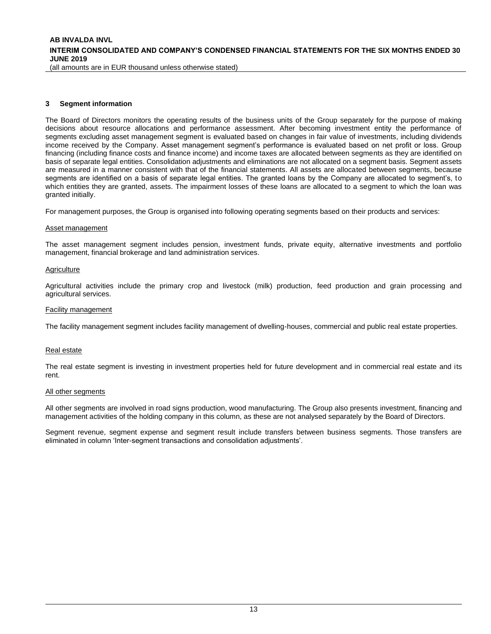(all amounts are in EUR thousand unless otherwise stated)

#### <span id="page-12-0"></span>**3 Segment information**

The Board of Directors monitors the operating results of the business units of the Group separately for the purpose of making decisions about resource allocations and performance assessment. After becoming investment entity the performance of segments excluding asset management segment is evaluated based on changes in fair value of investments, including dividends income received by the Company. Asset management segment's performance is evaluated based on net profit or loss. Group financing (including finance costs and finance income) and income taxes are allocated between segments as they are identified on basis of separate legal entities. Consolidation adjustments and eliminations are not allocated on a segment basis. Segment assets are measured in a manner consistent with that of the financial statements. All assets are allocated between segments, because segments are identified on a basis of separate legal entities. The granted loans by the Company are allocated to segment's, to which entities they are granted, assets. The impairment losses of these loans are allocated to a segment to which the loan was granted initially.

For management purposes, the Group is organised into following operating segments based on their products and services:

#### Asset management

The asset management segment includes pension, investment funds, private equity, alternative investments and portfolio management, financial brokerage and land administration services.

#### **Agriculture**

Agricultural activities include the primary crop and livestock (milk) production, feed production and grain processing and agricultural services.

#### Facility management

The facility management segment includes facility management of dwelling-houses, commercial and public real estate properties.

#### Real estate

The real estate segment is investing in investment properties held for future development and in commercial real estate and its rent.

#### All other segments

All other segments are involved in road signs production, wood manufacturing. The Group also presents investment, financing and management activities of the holding company in this column, as these are not analysed separately by the Board of Directors.

Segment revenue, segment expense and segment result include transfers between business segments. Those transfers are eliminated in column 'Inter-segment transactions and consolidation adjustments'.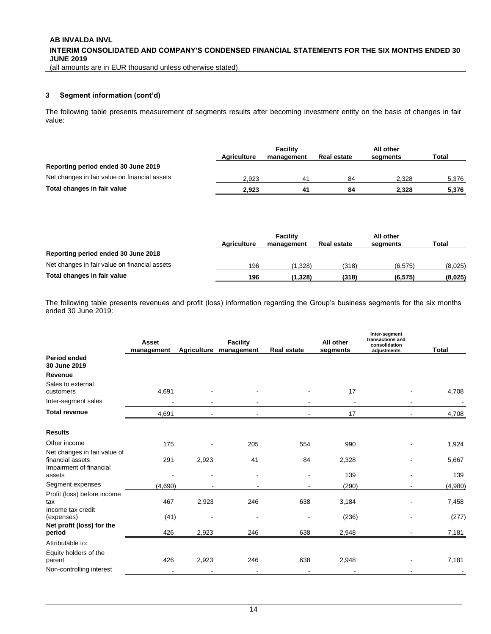**AB INVALDA INVL INTERIM CONSOLIDATED AND COMPANY'S CONDENSED FINANCIAL STATEMENTS FOR THE SIX MONTHS ENDED 30 JUNE 2019**

(all amounts are in EUR thousand unless otherwise stated)

#### **[3](#page-12-0) Segment information (cont'd)**

The following table presents measurement of segments results after becoming investment entity on the basis of changes in fair value:

|                                               | <b>Agriculture</b> | <b>Facility</b><br>management | <b>Real estate</b> | All other<br>segments | <b>Total</b> |
|-----------------------------------------------|--------------------|-------------------------------|--------------------|-----------------------|--------------|
| Reporting period ended 30 June 2019           |                    |                               |                    |                       |              |
| Net changes in fair value on financial assets | 2.923              | 4 <sup>1</sup>                | 84                 | 2.328                 | 5,376        |
| Total changes in fair value                   | 2.923              | 41                            | 84                 | 2.328                 | 5,376        |

|                                               | <b>Agriculture</b> | <b>Facility</b><br>management | <b>Real estate</b> | All other<br>segments | Total   |
|-----------------------------------------------|--------------------|-------------------------------|--------------------|-----------------------|---------|
| Reporting period ended 30 June 2018           |                    |                               |                    |                       |         |
| Net changes in fair value on financial assets | 196                | (1.328)                       | (318)              | (6.575)               | (8,025) |
| Total changes in fair value                   | 196                | (1.328)                       | (318)              | (6, 575)              | (8,025) |

The following table presents revenues and profit (loss) information regarding the Group's business segments for the six months ended 30 June 2019:

|                                                                             | Asset<br>management |       | <b>Facility</b><br>Agriculture management | <b>Real estate</b> | All other<br>segments | Inter-segment<br>transactions and<br>consolidation<br>adjustments | <b>Total</b> |
|-----------------------------------------------------------------------------|---------------------|-------|-------------------------------------------|--------------------|-----------------------|-------------------------------------------------------------------|--------------|
| <b>Period ended</b><br>30 June 2019                                         |                     |       |                                           |                    |                       |                                                                   |              |
| Revenue                                                                     |                     |       |                                           |                    |                       |                                                                   |              |
| Sales to external<br>customers                                              | 4,691               |       |                                           |                    | 17                    |                                                                   | 4,708        |
| Inter-segment sales                                                         |                     |       |                                           |                    |                       |                                                                   |              |
| <b>Total revenue</b>                                                        | 4,691               |       |                                           |                    | 17                    |                                                                   | 4,708        |
| <b>Results</b>                                                              |                     |       |                                           |                    |                       |                                                                   |              |
| Other income                                                                | 175                 |       | 205                                       | 554                | 990                   |                                                                   | 1,924        |
| Net changes in fair value of<br>financial assets<br>Impairment of financial | 291                 | 2,923 | 41                                        | 84                 | 2,328                 |                                                                   | 5,667        |
| assets                                                                      |                     |       |                                           |                    | 139                   |                                                                   | 139          |
| Segment expenses                                                            | (4,690)             |       |                                           |                    | (290)                 |                                                                   | (4,980)      |
| Profit (loss) before income<br>tax<br>Income tax credit                     | 467                 | 2,923 | 246                                       | 638                | 3,184                 |                                                                   | 7,458        |
| (expenses)                                                                  | (41)                |       |                                           |                    | (236)                 |                                                                   | (277)        |
| Net profit (loss) for the<br>period                                         | 426                 | 2,923 | 246                                       | 638                | 2,948                 |                                                                   | 7,181        |
| Attributable to:                                                            |                     |       |                                           |                    |                       |                                                                   |              |
| Equity holders of the<br>parent                                             | 426                 | 2,923 | 246                                       | 638                | 2,948                 |                                                                   | 7,181        |
| Non-controlling interest                                                    |                     |       |                                           |                    |                       |                                                                   |              |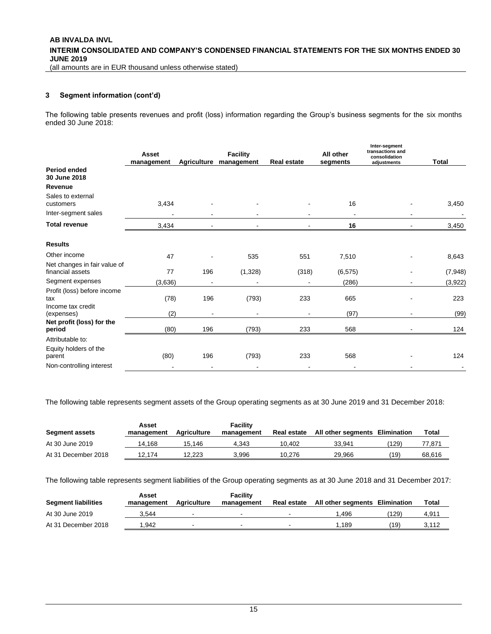#### **[3](#page-12-0) Segment information (cont'd)**

The following table presents revenues and profit (loss) information regarding the Group's business segments for the six months ended 30 June 2018:

|                                                         | Asset<br>management | <b>Agriculture</b> | <b>Facility</b><br>management | Real estate | All other<br>segments | Inter-segment<br>transactions and<br>consolidation<br>adjustments | <b>Total</b> |
|---------------------------------------------------------|---------------------|--------------------|-------------------------------|-------------|-----------------------|-------------------------------------------------------------------|--------------|
| <b>Period ended</b><br>30 June 2018                     |                     |                    |                               |             |                       |                                                                   |              |
| Revenue                                                 |                     |                    |                               |             |                       |                                                                   |              |
| Sales to external<br>customers                          | 3,434               |                    |                               |             | 16                    |                                                                   | 3,450        |
| Inter-segment sales                                     | $\blacksquare$      |                    |                               |             | ٠                     |                                                                   |              |
| <b>Total revenue</b>                                    | 3,434               |                    |                               |             | 16                    |                                                                   | 3,450        |
| <b>Results</b>                                          |                     |                    |                               |             |                       |                                                                   |              |
| Other income                                            | 47                  |                    | 535                           | 551         | 7,510                 |                                                                   | 8,643        |
| Net changes in fair value of<br>financial assets        | 77                  | 196                | (1,328)                       | (318)       | (6, 575)              |                                                                   | (7, 948)     |
| Segment expenses                                        | (3,636)             |                    |                               |             | (286)                 |                                                                   | (3,922)      |
| Profit (loss) before income<br>tax<br>Income tax credit | (78)                | 196                | (793)                         | 233         | 665                   |                                                                   | 223          |
| (expenses)                                              | (2)                 |                    |                               |             | (97)                  |                                                                   | (99)         |
| Net profit (loss) for the<br>period                     | (80)                | 196                | (793)                         | 233         | 568                   |                                                                   | 124          |
| Attributable to:                                        |                     |                    |                               |             |                       |                                                                   |              |
| Equity holders of the<br>parent                         | (80)                | 196                | (793)                         | 233         | 568                   |                                                                   | 124          |
| Non-controlling interest                                |                     | $\blacksquare$     |                               |             |                       |                                                                   |              |

The following table represents segment assets of the Group operating segments as at 30 June 2019 and 31 December 2018:

| <b>Segment assets</b> | Asset<br>management | Agriculture | Facility<br>management | <b>Real estate</b> | All other segments Elimination |       | Total  |
|-----------------------|---------------------|-------------|------------------------|--------------------|--------------------------------|-------|--------|
| At 30 June 2019       | 14.168              | 15.146      | 4.343                  | 10.402             | 33.941                         | (129) | 77.871 |
| At 31 December 2018   | 2.174،              | 12.223      | 3.996                  | 10.276             | 29.966                         | 19)   | 68.616 |

The following table represents segment liabilities of the Group operating segments as at 30 June 2018 and 31 December 2017:

| <b>Segment liabilities</b> | Asset<br>management | Agriculture              | Facility<br>management | <b>Real estate</b>       | All other seaments Elimination |      | Total |
|----------------------------|---------------------|--------------------------|------------------------|--------------------------|--------------------------------|------|-------|
| At 30 June 2019            | 3.544               |                          |                        |                          | .496                           | 129  | 4.911 |
| At 31 December 2018        | .942                | $\overline{\phantom{a}}$ | $\sim$                 | $\overline{\phantom{a}}$ | 1.189                          | (19) | 3.112 |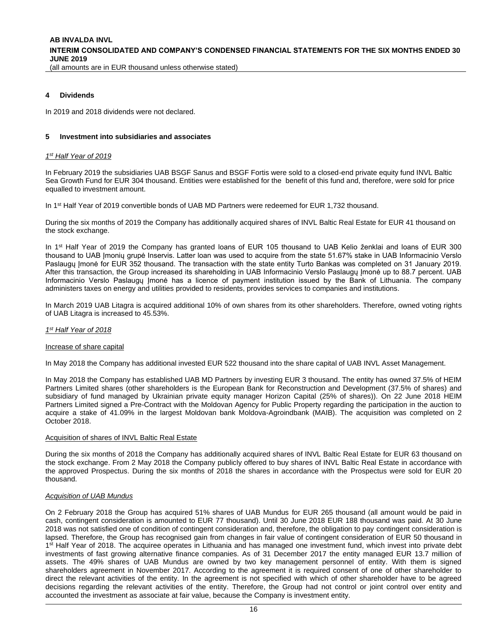#### **4 Dividends**

In 2019 and 2018 dividends were not declared.

#### <span id="page-15-0"></span>**5 Investment into subsidiaries and associates**

#### *1 st Half Year of 2019*

In February 2019 the subsidiaries UAB BSGF Sanus and BSGF Fortis were sold to a closed-end private equity fund INVL Baltic Sea Growth Fund for EUR 304 thousand. Entities were established for the benefit of this fund and, therefore, were sold for price equalled to investment amount.

In 1<sup>st</sup> Half Year of 2019 convertible bonds of UAB MD Partners were redeemed for EUR 1,732 thousand.

During the six months of 2019 the Company has additionally acquired shares of INVL Baltic Real Estate for EUR 41 thousand on the stock exchange.

In 1<sup>st</sup> Half Year of 2019 the Company has granted loans of EUR 105 thousand to UAB Kelio ženklai and loans of EUR 300 thousand to UAB Įmonių grupė Inservis. Latter loan was used to acquire from the state 51.67% stake in UAB Informacinio Verslo Paslaugų Įmonė for EUR 352 thousand. The transaction with the state entity Turto Bankas was completed on 31 January 2019. After this transaction, the Group increased its shareholding in UAB Informacinio Verslo Paslaugų Įmonė up to 88.7 percent. UAB Informacinio Verslo Paslaugų Įmonė has a licence of payment institution issued by the Bank of Lithuania. The company administers taxes on energy and utilities provided to residents, provides services to companies and institutions.

In March 2019 UAB Litagra is acquired additional 10% of own shares from its other shareholders. Therefore, owned voting rights of UAB Litagra is increased to 45.53%.

#### *1 st Half Year of 2018*

#### Increase of share capital

In May 2018 the Company has additional invested EUR 522 thousand into the share capital of UAB INVL Asset Management.

In May 2018 the Company has established UAB MD Partners by investing EUR 3 thousand. The entity has owned 37.5% of HEIM Partners Limited shares (other shareholders is the European Bank for Reconstruction and Development (37.5% of shares) and subsidiary of fund managed by Ukrainian private equity manager Horizon Capital (25% of shares)). On 22 June 2018 HEIM Partners Limited signed a Pre-Contract with the Moldovan Agency for Public Property regarding the participation in the auction to acquire a stake of 41.09% in the largest Moldovan bank Moldova-Agroindbank (MAIB). The acquisition was completed on 2 October 2018.

#### Acquisition of shares of INVL Baltic Real Estate

During the six months of 2018 the Company has additionally acquired shares of INVL Baltic Real Estate for EUR 63 thousand on the stock exchange. From 2 May 2018 the Company publicly offered to buy shares of INVL Baltic Real Estate in accordance with the approved Prospectus. During the six months of 2018 the shares in accordance with the Prospectus were sold for EUR 20 thousand.

#### *Acquisition of UAB Mundus*

On 2 February 2018 the Group has acquired 51% shares of UAB Mundus for EUR 265 thousand (all amount would be paid in cash, contingent consideration is amounted to EUR 77 thousand). Until 30 June 2018 EUR 188 thousand was paid. At 30 June 2018 was not satisfied one of condition of contingent consideration and, therefore, the obligation to pay contingent consideration is lapsed. Therefore, the Group has recognised gain from changes in fair value of contingent consideration of EUR 50 thousand in 1<sup>st</sup> Half Year of 2018. The acquiree operates in Lithuania and has managed one investment fund, which invest into private debt investments of fast growing alternative finance companies. As of 31 December 2017 the entity managed EUR 13.7 million of assets. The 49% shares of UAB Mundus are owned by two key management personnel of entity. With them is signed shareholders agreement in November 2017. According to the agreement it is required consent of one of other shareholder to direct the relevant activities of the entity. In the agreement is not specified with which of other shareholder have to be agreed decisions regarding the relevant activities of the entity. Therefore, the Group had not control or joint control over entity and accounted the investment as associate at fair value, because the Company is investment entity.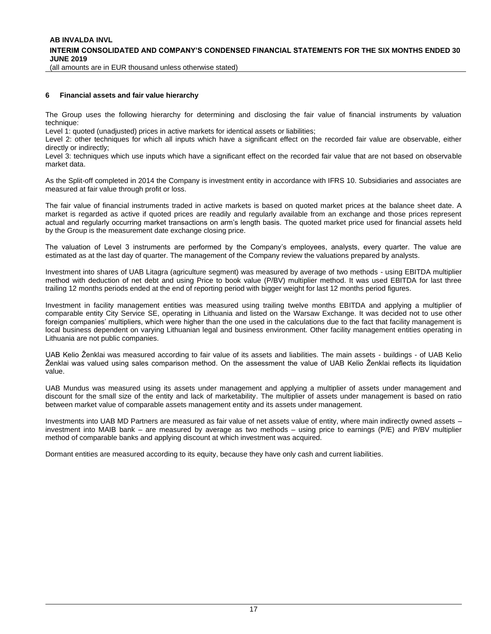(all amounts are in EUR thousand unless otherwise stated)

#### <span id="page-16-0"></span>**6 Financial assets and fair value hierarchy**

The Group uses the following hierarchy for determining and disclosing the fair value of financial instruments by valuation technique:

Level 1: quoted (unadjusted) prices in active markets for identical assets or liabilities;

Level 2: other techniques for which all inputs which have a significant effect on the recorded fair value are observable, either directly or indirectly;

Level 3: techniques which use inputs which have a significant effect on the recorded fair value that are not based on observable market data.

As the Split-off completed in 2014 the Company is investment entity in accordance with IFRS 10. Subsidiaries and associates are measured at fair value through profit or loss.

The fair value of financial instruments traded in active markets is based on quoted market prices at the balance sheet date. A market is regarded as active if quoted prices are readily and regularly available from an exchange and those prices represent actual and regularly occurring market transactions on arm's length basis. The quoted market price used for financial assets held by the Group is the measurement date exchange closing price.

The valuation of Level 3 instruments are performed by the Company's employees, analysts, every quarter. The value are estimated as at the last day of quarter. The management of the Company review the valuations prepared by analysts.

Investment into shares of UAB Litagra (agriculture segment) was measured by average of two methods - using EBITDA multiplier method with deduction of net debt and using Price to book value (P/BV) multiplier method. It was used EBITDA for last three trailing 12 months periods ended at the end of reporting period with bigger weight for last 12 months period figures.

Investment in facility management entities was measured using trailing twelve months EBITDA and applying a multiplier of comparable entity City Service SE, operating in Lithuania and listed on the Warsaw Exchange. It was decided not to use other foreign companies' multipliers, which were higher than the one used in the calculations due to the fact that facility management is local business dependent on varying Lithuanian legal and business environment. Other facility management entities operating in Lithuania are not public companies.

UAB Kelio Ženklai was measured according to fair value of its assets and liabilities. The main assets - buildings - of UAB Kelio Ženklai was valued using sales comparison method. On the assessment the value of UAB Kelio Ženklai reflects its liquidation value.

UAB Mundus was measured using its assets under management and applying a multiplier of assets under management and discount for the small size of the entity and lack of marketability. The multiplier of assets under management is based on ratio between market value of comparable assets management entity and its assets under management.

Investments into UAB MD Partners are measured as fair value of net assets value of entity, where main indirectly owned assets – investment into MAIB bank – are measured by average as two methods – using price to earnings (P/E) and P/BV multiplier method of comparable banks and applying discount at which investment was acquired.

Dormant entities are measured according to its equity, because they have only cash and current liabilities.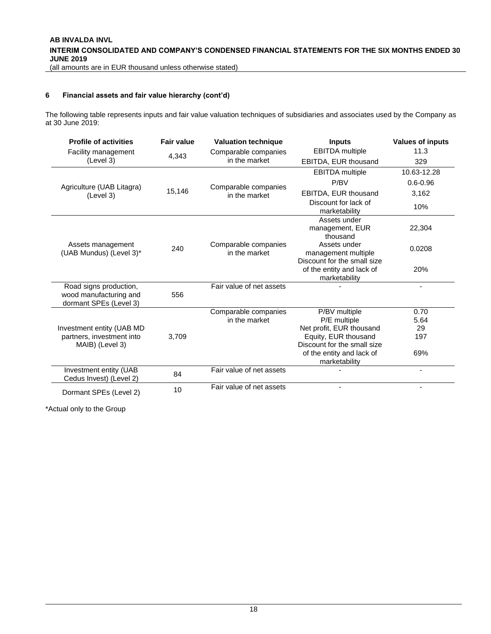#### **[6](#page-16-0) Financial assets and fair value hierarchy (cont'd)**

The following table represents inputs and fair value valuation techniques of subsidiaries and associates used by the Company as at 30 June 2019:

| <b>Profile of activities</b>                                               | <b>Fair value</b> | <b>Valuation technique</b>            | <b>Inputs</b>                                                                   | <b>Values of inputs</b> |
|----------------------------------------------------------------------------|-------------------|---------------------------------------|---------------------------------------------------------------------------------|-------------------------|
| Facility management                                                        |                   | Comparable companies                  | <b>EBITDA</b> multiple                                                          | 11.3                    |
| (Level 3)                                                                  | 4,343             | in the market                         | EBITDA, EUR thousand                                                            | 329                     |
|                                                                            |                   |                                       | <b>EBITDA</b> multiple                                                          | 10.63-12.28             |
| Agriculture (UAB Litagra)                                                  |                   | Comparable companies                  | P/BV                                                                            | $0.6 - 0.96$            |
| (Level 3)                                                                  | 15,146            | in the market                         | EBITDA, EUR thousand                                                            | 3,162                   |
|                                                                            |                   |                                       | Discount for lack of<br>marketability                                           | 10%                     |
|                                                                            |                   |                                       | Assets under<br>management, EUR<br>thousand                                     | 22,304                  |
| Assets management<br>(UAB Mundus) (Level 3)*                               | 240               | Comparable companies<br>in the market | Assets under<br>management multiple                                             | 0.0208                  |
|                                                                            |                   |                                       | Discount for the small size<br>of the entity and lack of<br>marketability       | 20%                     |
| Road signs production,<br>wood manufacturing and<br>dormant SPEs (Level 3) | 556               | Fair value of net assets              |                                                                                 | $\blacksquare$          |
|                                                                            |                   | Comparable companies                  | P/BV multiple                                                                   | 0.70                    |
|                                                                            |                   | in the market                         | P/E multiple                                                                    | 5.64                    |
| Investment entity (UAB MD<br>partners, investment into<br>MAIB) (Level 3)  | 3,709             |                                       | Net profit, EUR thousand<br>Equity, EUR thousand<br>Discount for the small size | 29<br>197               |
|                                                                            |                   |                                       | of the entity and lack of<br>marketability                                      | 69%                     |
| Investment entity (UAB<br>Cedus Invest) (Level 2)                          | 84                | Fair value of net assets              |                                                                                 |                         |
| Dormant SPEs (Level 2)                                                     | 10                | Fair value of net assets              |                                                                                 |                         |

\*Actual only to the Group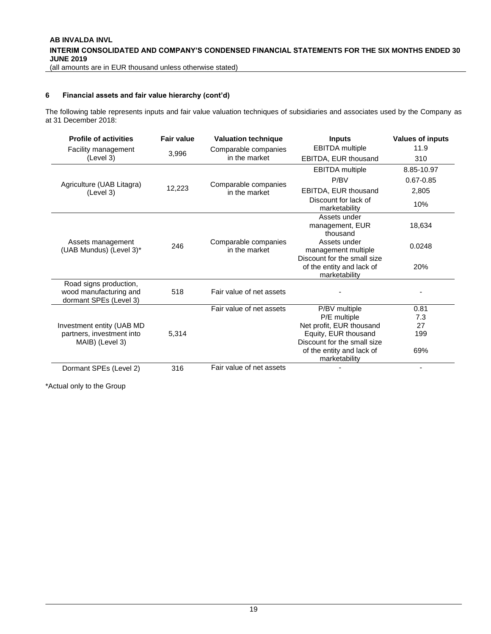(all amounts are in EUR thousand unless otherwise stated)

#### **[6](#page-16-0) Financial assets and fair value hierarchy (cont'd)**

The following table represents inputs and fair value valuation techniques of subsidiaries and associates used by the Company as at 31 December 2018:

| <b>Profile of activities</b>                                               | <b>Fair value</b> | <b>Valuation technique</b>            | <b>Inputs</b>                                                             | <b>Values of inputs</b>  |
|----------------------------------------------------------------------------|-------------------|---------------------------------------|---------------------------------------------------------------------------|--------------------------|
| Facility management                                                        |                   | Comparable companies                  | <b>EBITDA</b> multiple                                                    | 11.9                     |
| (Level 3)                                                                  | 3,996             | in the market                         | EBITDA, EUR thousand                                                      | 310                      |
|                                                                            |                   |                                       | <b>EBITDA</b> multiple                                                    | 8.85-10.97               |
| Agriculture (UAB Litagra)                                                  |                   | Comparable companies                  | P/BV                                                                      | $0.67 - 0.85$            |
| (Level 3)                                                                  | 12,223            | in the market                         | EBITDA, EUR thousand                                                      | 2,805                    |
|                                                                            |                   |                                       | Discount for lack of<br>marketability                                     | 10%                      |
|                                                                            |                   |                                       | Assets under<br>management, EUR<br>thousand                               | 18,634                   |
| Assets management<br>(UAB Mundus) (Level 3)*                               | 246               | Comparable companies<br>in the market | Assets under<br>management multiple                                       | 0.0248                   |
|                                                                            |                   |                                       | Discount for the small size<br>of the entity and lack of<br>marketability | 20%                      |
| Road signs production,<br>wood manufacturing and<br>dormant SPEs (Level 3) | 518               | Fair value of net assets              |                                                                           |                          |
|                                                                            |                   | Fair value of net assets              | P/BV multiple                                                             | 0.81                     |
|                                                                            |                   |                                       | P/E multiple                                                              | 7.3                      |
| Investment entity (UAB MD                                                  |                   |                                       | Net profit, EUR thousand                                                  | 27                       |
| partners, investment into                                                  | 5,314             |                                       | Equity, EUR thousand                                                      | 199                      |
| MAIB) (Level 3)                                                            |                   |                                       | Discount for the small size<br>of the entity and lack of<br>marketability | 69%                      |
| Dormant SPEs (Level 2)                                                     | 316               | Fair value of net assets              |                                                                           | $\overline{\phantom{a}}$ |

\*Actual only to the Group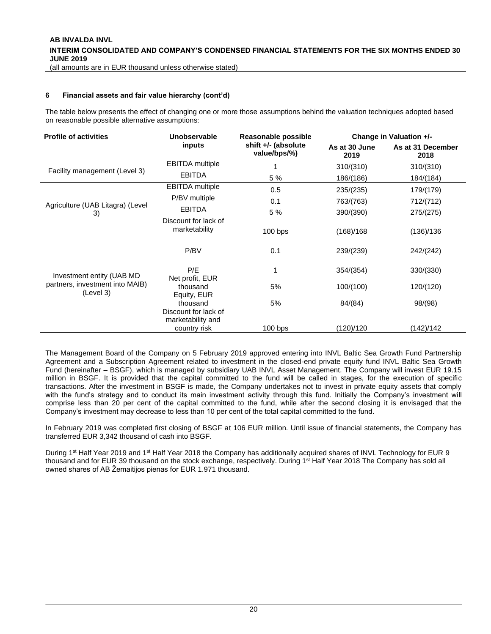#### **[6](#page-16-0) Financial assets and fair value hierarchy (cont'd)**

The table below presents the effect of changing one or more those assumptions behind the valuation techniques adopted based on reasonable possible alternative assumptions:

| <b>Profile of activities</b>                 | Unobservable                               | Reasonable possible                 | Change in Valuation +/- |                           |  |
|----------------------------------------------|--------------------------------------------|-------------------------------------|-------------------------|---------------------------|--|
|                                              | inputs                                     | shift +/- (absolute<br>value/bps/%) | As at 30 June<br>2019   | As at 31 December<br>2018 |  |
|                                              | <b>EBITDA</b> multiple                     |                                     | 310/(310)               | 310/(310)                 |  |
| Facility management (Level 3)                | <b>EBITDA</b>                              | 5 %                                 | 186/(186)               | 184/(184)                 |  |
|                                              | <b>EBITDA</b> multiple                     | 0.5                                 | 235/(235)               | 179/(179)                 |  |
| Agriculture (UAB Litagra) (Level             | P/BV multiple                              | 0.1                                 | 763/(763)               | 712/(712)                 |  |
| 3)                                           | <b>EBITDA</b>                              | 5 %                                 | 390/(390)               | 275/(275)                 |  |
|                                              | Discount for lack of<br>marketability      | 100 bps                             | (168)/168               | (136)/136                 |  |
|                                              | P/BV                                       | 0.1                                 | 239/(239)               | 242/(242)                 |  |
| Investment entity (UAB MD)                   | P/E                                        |                                     | 354/(354)               | 330/(330)                 |  |
| partners, investment into MAIB)<br>(Level 3) | Net profit, EUR<br>thousand<br>Equity, EUR | 5%                                  | 100/(100)               | 120/(120)                 |  |
|                                              | thousand<br>Discount for lack of           | 5%                                  | 84/(84)                 | 98/(98)                   |  |
|                                              | marketability and<br>country risk          | $100$ bps                           | (120)/120               | (142)/142                 |  |

The Management Board of the Company on 5 February 2019 approved entering into INVL Baltic Sea Growth Fund Partnership Agreement and a Subscription Agreement related to investment in the closed-end private equity fund INVL Baltic Sea Growth Fund (hereinafter – BSGF), which is managed by subsidiary UAB INVL Asset Management. The Company will invest EUR 19.15 million in BSGF. It is provided that the capital committed to the fund will be called in stages, for the execution of specific transactions. After the investment in BSGF is made, the Company undertakes not to invest in private equity assets that comply with the fund's strategy and to conduct its main investment activity through this fund. Initially the Company's investment will comprise less than 20 per cent of the capital committed to the fund, while after the second closing it is envisaged that the Company's investment may decrease to less than 10 per cent of the total capital committed to the fund.

In February 2019 was completed first closing of BSGF at 106 EUR million. Until issue of financial statements, the Company has transferred EUR 3,342 thousand of cash into BSGF.

During 1<sup>st</sup> Half Year 2019 and 1<sup>st</sup> Half Year 2018 the Company has additionally acquired shares of INVL Technology for EUR 9 thousand and for EUR 39 thousand on the stock exchange, respectively. During 1<sup>st</sup> Half Year 2018 The Company has sold all owned shares of AB Žemaitijos pienas for EUR 1.971 thousand.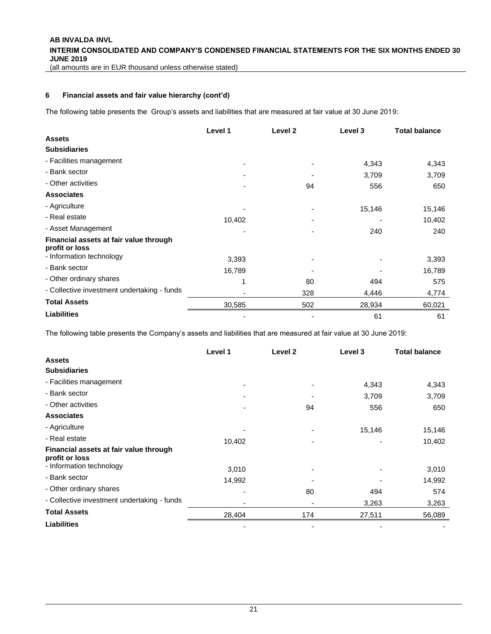**[6](#page-16-0) Financial assets and fair value hierarchy (cont'd)**

The following table presents the Group's assets and liabilities that are measured at fair value at 30 June 2019:

|                                                          | Level 1 | Level 2 | Level 3 | <b>Total balance</b> |
|----------------------------------------------------------|---------|---------|---------|----------------------|
| <b>Assets</b>                                            |         |         |         |                      |
| <b>Subsidiaries</b>                                      |         |         |         |                      |
| - Facilities management                                  |         |         | 4,343   | 4,343                |
| - Bank sector                                            |         |         | 3,709   | 3,709                |
| - Other activities                                       |         | 94      | 556     | 650                  |
| <b>Associates</b>                                        |         |         |         |                      |
| - Agriculture                                            |         |         | 15,146  | 15,146               |
| - Real estate                                            | 10,402  |         |         | 10,402               |
| - Asset Management                                       |         |         | 240     | 240                  |
| Financial assets at fair value through<br>profit or loss |         |         |         |                      |
| - Information technology                                 | 3,393   |         |         | 3,393                |
| - Bank sector                                            | 16,789  |         |         | 16,789               |
| - Other ordinary shares                                  |         | 80      | 494     | 575                  |
| - Collective investment undertaking - funds              |         | 328     | 4,446   | 4,774                |
| <b>Total Assets</b>                                      | 30,585  | 502     | 28,934  | 60,021               |
| <b>Liabilities</b>                                       |         |         | 61      | 61                   |

The following table presents the Company's assets and liabilities that are measured at fair value at 30 June 2019:

|                                                          | Level 1 | Level <sub>2</sub> | Level 3 | <b>Total balance</b> |
|----------------------------------------------------------|---------|--------------------|---------|----------------------|
| <b>Assets</b>                                            |         |                    |         |                      |
| <b>Subsidiaries</b>                                      |         |                    |         |                      |
| - Facilities management                                  |         |                    | 4,343   | 4,343                |
| - Bank sector                                            |         |                    | 3,709   | 3,709                |
| - Other activities                                       |         | 94                 | 556     | 650                  |
| <b>Associates</b>                                        |         |                    |         |                      |
| - Agriculture                                            |         |                    | 15,146  | 15,146               |
| - Real estate                                            | 10,402  |                    |         | 10,402               |
| Financial assets at fair value through<br>profit or loss |         |                    |         |                      |
| - Information technology                                 | 3,010   |                    |         | 3,010                |
| - Bank sector                                            | 14,992  |                    |         | 14,992               |
| - Other ordinary shares                                  |         | 80                 | 494     | 574                  |
| - Collective investment undertaking - funds              |         |                    | 3,263   | 3,263                |
| <b>Total Assets</b>                                      | 28,404  | 174                | 27,511  | 56,089               |
| <b>Liabilities</b>                                       |         |                    |         |                      |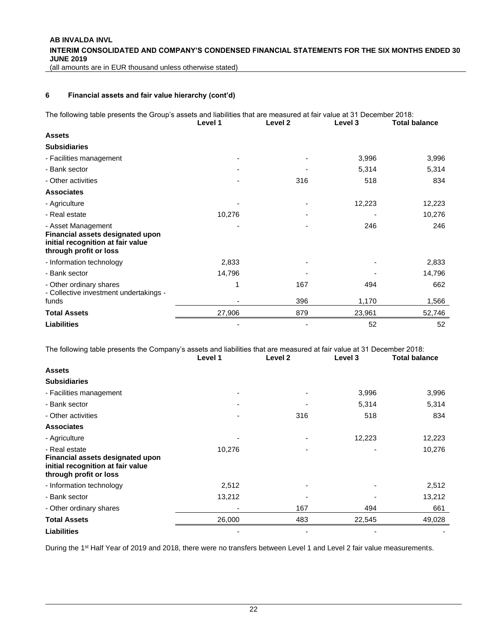**AB INVALDA INVL INTERIM CONSOLIDATED AND COMPANY'S CONDENSED FINANCIAL STATEMENTS FOR THE SIX MONTHS ENDED 30 JUNE 2019**

(all amounts are in EUR thousand unless otherwise stated)

#### **[6](#page-16-0) Financial assets and fair value hierarchy (cont'd)**

The following table presents the Group's assets and liabilities that are measured at fair value at 31 December 2018:

|                                                                                                                       | Level 1 | Level <sub>2</sub> | Level 3 | <b>Total balance</b> |
|-----------------------------------------------------------------------------------------------------------------------|---------|--------------------|---------|----------------------|
| <b>Assets</b>                                                                                                         |         |                    |         |                      |
| <b>Subsidiaries</b>                                                                                                   |         |                    |         |                      |
| - Facilities management                                                                                               |         |                    | 3,996   | 3,996                |
| - Bank sector                                                                                                         |         |                    | 5,314   | 5,314                |
| - Other activities                                                                                                    |         | 316                | 518     | 834                  |
| <b>Associates</b>                                                                                                     |         |                    |         |                      |
| - Agriculture                                                                                                         |         |                    | 12,223  | 12,223               |
| - Real estate                                                                                                         | 10,276  |                    |         | 10,276               |
| - Asset Management<br>Financial assets designated upon<br>initial recognition at fair value<br>through profit or loss |         |                    | 246     | 246                  |
| - Information technology                                                                                              | 2,833   |                    |         | 2,833                |
| - Bank sector                                                                                                         | 14,796  |                    |         | 14,796               |
| - Other ordinary shares<br>- Collective investment undertakings -                                                     |         | 167                | 494     | 662                  |
| funds                                                                                                                 |         | 396                | 1,170   | 1,566                |
| <b>Total Assets</b>                                                                                                   | 27,906  | 879                | 23,961  | 52,746               |
| <b>Liabilities</b>                                                                                                    |         |                    | 52      | 52                   |

The following table presents the Company's assets and liabilities that are measured at fair value at 31 December 2018:

|                                                                                                                  | Level 1 | Level 2                  | Level 3 | Total balance |
|------------------------------------------------------------------------------------------------------------------|---------|--------------------------|---------|---------------|
| <b>Assets</b>                                                                                                    |         |                          |         |               |
| <b>Subsidiaries</b>                                                                                              |         |                          |         |               |
| - Facilities management                                                                                          |         |                          | 3,996   | 3,996         |
| - Bank sector                                                                                                    |         | ٠                        | 5,314   | 5,314         |
| - Other activities                                                                                               |         | 316                      | 518     | 834           |
| <b>Associates</b>                                                                                                |         |                          |         |               |
| - Agriculture                                                                                                    |         | $\overline{\phantom{a}}$ | 12,223  | 12,223        |
| - Real estate<br>Financial assets designated upon<br>initial recognition at fair value<br>through profit or loss | 10,276  |                          |         | 10,276        |
| - Information technology                                                                                         | 2,512   | ٠                        |         | 2,512         |
| - Bank sector                                                                                                    | 13,212  |                          |         | 13,212        |
| - Other ordinary shares                                                                                          |         | 167                      | 494     | 661           |
| <b>Total Assets</b>                                                                                              | 26,000  | 483                      | 22,545  | 49,028        |
| <b>Liabilities</b>                                                                                               |         | -                        |         |               |

During the 1<sup>st</sup> Half Year of 2019 and 2018, there were no transfers between Level 1 and Level 2 fair value measurements.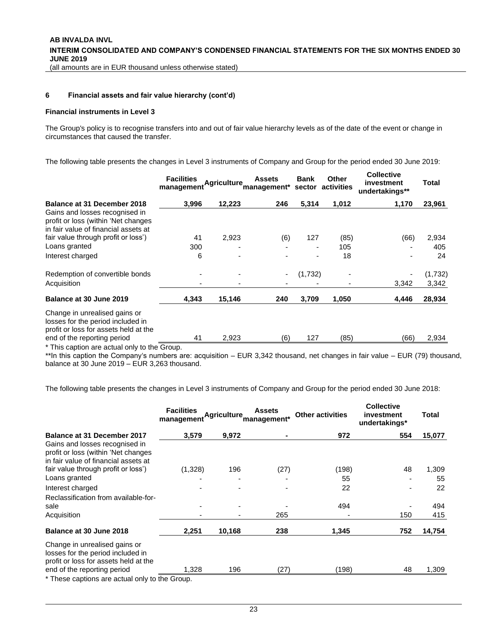**[6](#page-16-0) Financial assets and fair value hierarchy (cont'd)**

#### **Financial instruments in Level 3**

The Group's policy is to recognise transfers into and out of fair value hierarchy levels as of the date of the event or change in circumstances that caused the transfer.

The following table presents the changes in Level 3 instruments of Company and Group for the period ended 30 June 2019:

|                                                                                                               | <b>Facilities</b><br>management | <b>Agriculture</b> | <b>Assets</b><br>'management* | Bank<br>sector | <b>Other</b><br>activities | <b>Collective</b><br>investment<br>undertakings** | Total   |
|---------------------------------------------------------------------------------------------------------------|---------------------------------|--------------------|-------------------------------|----------------|----------------------------|---------------------------------------------------|---------|
| <b>Balance at 31 December 2018</b>                                                                            | 3,996                           | 12,223             | 246                           | 5,314          | 1,012                      | 1,170                                             | 23,961  |
| Gains and losses recognised in<br>profit or loss (within 'Net changes<br>in fair value of financial assets at |                                 |                    |                               |                |                            |                                                   |         |
| fair value through profit or loss')                                                                           | 41                              | 2,923              | (6)                           | 127            | (85)                       | (66)                                              | 2,934   |
| Loans granted                                                                                                 | 300                             |                    |                               | ٠              | 105                        |                                                   | 405     |
| Interest charged                                                                                              | 6                               |                    |                               | $\blacksquare$ | 18                         |                                                   | 24      |
| Redemption of convertible bonds                                                                               |                                 |                    | ٠                             | (1,732)        |                            |                                                   | (1,732) |
| Acquisition                                                                                                   |                                 |                    |                               |                |                            | 3,342                                             | 3,342   |
| Balance at 30 June 2019                                                                                       | 4,343                           | 15,146             | 240                           | 3,709          | 1,050                      | 4,446                                             | 28,934  |
| Change in unrealised gains or<br>losses for the period included in<br>profit or loss for assets held at the   |                                 |                    |                               |                |                            |                                                   |         |
| end of the reporting period                                                                                   | 41                              | 2,923              | (6)                           | 127            | (85)                       | (66)                                              | 2,934   |

\* This caption are actual only to the Group.

\*\*In this caption the Company's numbers are: acquisition – EUR 3,342 thousand, net changes in fair value – EUR (79) thousand, balance at 30 June 2019 – EUR 3,263 thousand.

The following table presents the changes in Level 3 instruments of Company and Group for the period ended 30 June 2018:

|                                                                                                                                            | <b>Facilities</b><br>management |        | <b>Assets</b><br>Agriculture management* | <b>Other activities</b> | <b>Collective</b><br>investment<br>undertakings* | Total  |
|--------------------------------------------------------------------------------------------------------------------------------------------|---------------------------------|--------|------------------------------------------|-------------------------|--------------------------------------------------|--------|
| <b>Balance at 31 December 2017</b>                                                                                                         | 3,579                           | 9,972  |                                          | 972                     | 554                                              | 15,077 |
| Gains and losses recognised in<br>profit or loss (within 'Net changes<br>in fair value of financial assets at                              |                                 |        |                                          |                         |                                                  |        |
| fair value through profit or loss')                                                                                                        | (1,328)                         | 196    | (27)                                     | (198)                   | 48                                               | 1,309  |
| Loans granted                                                                                                                              |                                 |        |                                          | 55                      |                                                  | 55     |
| Interest charged                                                                                                                           |                                 |        |                                          | 22                      |                                                  | 22     |
| Reclassification from available-for-                                                                                                       |                                 |        |                                          |                         |                                                  |        |
| sale                                                                                                                                       |                                 |        |                                          | 494                     |                                                  | 494    |
| Acquisition                                                                                                                                |                                 |        | 265                                      |                         | 150                                              | 415    |
| Balance at 30 June 2018                                                                                                                    | 2,251                           | 10,168 | 238                                      | 1,345                   | 752                                              | 14,754 |
| Change in unrealised gains or<br>losses for the period included in<br>profit or loss for assets held at the<br>end of the reporting period | 1,328                           | 196    | (27)                                     | (198)                   | 48                                               | 1,309  |
| * These captions are actual only to the Group.                                                                                             |                                 |        |                                          |                         |                                                  |        |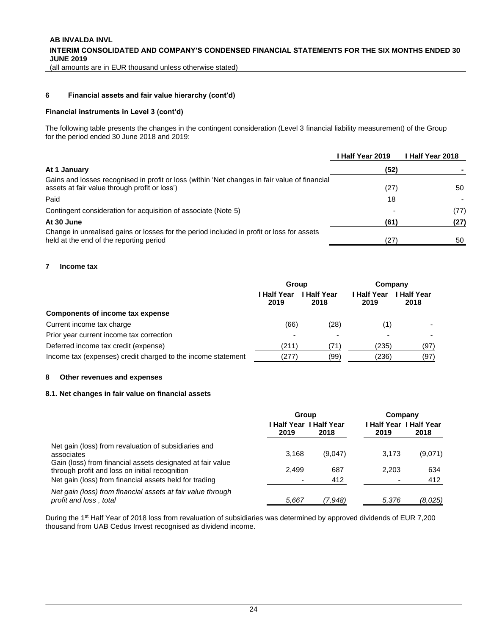#### **[6](#page-16-0) Financial assets and fair value hierarchy (cont'd)**

#### **Financial instruments in Level 3 (cont'd)**

The following table presents the changes in the contingent consideration (Level 3 financial liability measurement) of the Group for the period ended 30 June 2018 and 2019:

|                                                                                                                                                | I Half Year 2019 | I Half Year 2018 |
|------------------------------------------------------------------------------------------------------------------------------------------------|------------------|------------------|
| At 1 January                                                                                                                                   | (52)             |                  |
| Gains and losses recognised in profit or loss (within 'Net changes in fair value of financial<br>assets at fair value through profit or loss') | (27)             | 50               |
| Paid                                                                                                                                           | 18               |                  |
| Contingent consideration for acquisition of associate (Note 5)                                                                                 |                  | (77)             |
| At 30 June                                                                                                                                     | (61)             | (27)             |
| Change in unrealised gains or losses for the period included in profit or loss for assets<br>held at the end of the reporting period           | 27)              | 50               |

#### <span id="page-23-0"></span>**7 Income tax**

|                                                              | Group               |                     | Company             |                          |  |
|--------------------------------------------------------------|---------------------|---------------------|---------------------|--------------------------|--|
|                                                              | l Half Year<br>2019 | l Half Year<br>2018 | I Half Year<br>2019 | <b>Half Year</b><br>2018 |  |
| <b>Components of income tax expense</b>                      |                     |                     |                     |                          |  |
| Current income tax charge                                    | (66)                | (28)                | (1)                 |                          |  |
| Prior year current income tax correction                     |                     |                     |                     |                          |  |
| Deferred income tax credit (expense)                         | (211)               |                     | (235)               | (97)                     |  |
| Income tax (expenses) credit charged to the income statement | (277)               | (99)                | (236)               | (97)                     |  |

#### <span id="page-23-1"></span>**8 Other revenues and expenses**

#### **8.1. Net changes in fair value on financial assets**

|                                                                                                              | Group |                         | Company |                         |
|--------------------------------------------------------------------------------------------------------------|-------|-------------------------|---------|-------------------------|
|                                                                                                              |       | l Half Year I Half Year |         | I Half Year I Half Year |
|                                                                                                              | 2019  | 2018                    | 2019    | 2018                    |
| Net gain (loss) from revaluation of subsidiaries and<br>associates                                           | 3.168 | (9,047)                 | 3.173   | (9,071)                 |
| Gain (loss) from financial assets designated at fair value<br>through profit and loss on initial recognition | 2.499 | 687                     | 2.203   | 634                     |
| Net gain (loss) from financial assets held for trading                                                       | ۰     | 412                     | ۰       | 412                     |
| Net gain (loss) from financial assets at fair value through<br>profit and loss, total                        | 5.667 | (7.948)                 | 5.376   | (8,025)                 |

During the 1<sup>st</sup> Half Year of 2018 loss from revaluation of subsidiaries was determined by approved dividends of EUR 7,200 thousand from UAB Cedus Invest recognised as dividend income.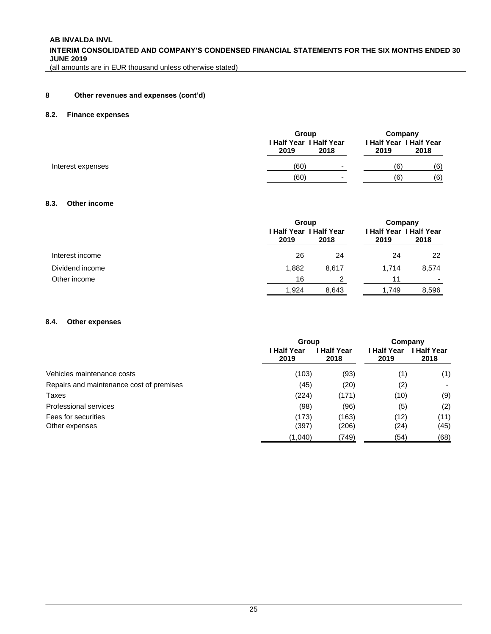**AB INVALDA INVL INTERIM CONSOLIDATED AND COMPANY'S CONDENSED FINANCIAL STATEMENTS FOR THE SIX MONTHS ENDED 30 JUNE 2019**

(all amounts are in EUR thousand unless otherwise stated)

#### **[8](#page-23-1) Other revenues and expenses (cont'd)**

#### **8.2. Finance expenses**

|                   | Group                                          | Company                                 |
|-------------------|------------------------------------------------|-----------------------------------------|
|                   | <b>I Half Year I Half Year</b><br>2019<br>2018 | I Half Year I Half Year<br>2019<br>2018 |
| Interest expenses | (60)                                           | (6)<br>(6)<br>$\overline{\phantom{0}}$  |
|                   | (60)                                           | (6)<br>(6)<br>$\overline{\phantom{0}}$  |

#### **8.3. Other income**

|                 | 2019  | Group<br><b>I Half Year I Half Year</b><br>2018 |       | Company<br><b>I Half Year I Half Year</b><br>2018 |
|-----------------|-------|-------------------------------------------------|-------|---------------------------------------------------|
| Interest income | 26    | 24                                              | 24    | 22                                                |
| Dividend income | 1,882 | 8.617                                           | 1.714 | 8,574                                             |
| Other income    | 16    | ⌒                                               | 11    | $\overline{\phantom{0}}$                          |
|                 | 1,924 | 8,643                                           | 1.749 | 8,596                                             |

#### **8.4. Other expenses**

|                                          | Group               |                          | Company             |                     |
|------------------------------------------|---------------------|--------------------------|---------------------|---------------------|
|                                          | I Half Year<br>2019 | <b>Half Year</b><br>2018 | l Half Year<br>2019 | ∣ Half Year<br>2018 |
| Vehicles maintenance costs               | (103)               | (93)                     | (1)                 | (1)                 |
| Repairs and maintenance cost of premises | (45)                | (20)                     | (2)                 |                     |
| Taxes                                    | (224)               | (171)                    | (10)                | (9)                 |
| Professional services                    | (98)                | (96)                     | (5)                 | (2)                 |
| Fees for securities                      | (173)               | (163)                    | (12)                | (11)                |
| Other expenses                           | (397)               | (206)                    | (24)                | (45)                |
|                                          | (1,040)             | (749)                    | (54)                | (68)                |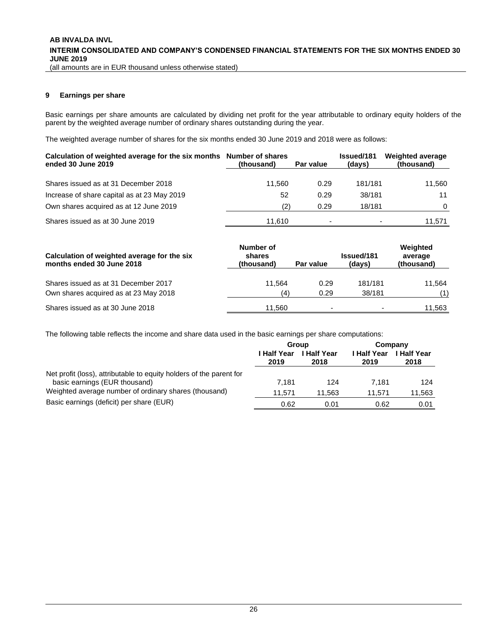#### <span id="page-25-0"></span>**9 Earnings per share**

Basic earnings per share amounts are calculated by dividing net profit for the year attributable to ordinary equity holders of the parent by the weighted average number of ordinary shares outstanding during the year.

The weighted average number of shares for the six months ended 30 June 2019 and 2018 were as follows:

| Calculation of weighted average for the six months Number of shares<br>ended 30 June 2019 | (thousand) | Par value | <b>Issued/181</b><br>(days) | <b>Weighted average</b><br>(thousand) |
|-------------------------------------------------------------------------------------------|------------|-----------|-----------------------------|---------------------------------------|
| Shares issued as at 31 December 2018                                                      | 11.560     | 0.29      | 181/181                     | 11.560                                |
| Increase of share capital as at 23 May 2019                                               | 52         | 0.29      | 38/181                      | 11                                    |
| Own shares acquired as at 12 June 2019                                                    | (2)        | 0.29      | 18/181                      | $\Omega$                              |
| Shares issued as at 30 June 2019                                                          | 11.610     | ٠         |                             | 11.571                                |

| Calculation of weighted average for the six<br>months ended 30 June 2018 | Number of<br>shares<br>(thousand) | Par value | <b>Issued/181</b><br>(days) | Weighted<br>average<br>(thousand) |
|--------------------------------------------------------------------------|-----------------------------------|-----------|-----------------------------|-----------------------------------|
| Shares issued as at 31 December 2017                                     | 11.564                            | 0.29      | 181/181                     | 11.564                            |
| Own shares acquired as at 23 May 2018                                    | (4)                               | 0.29      | 38/181                      | (1)                               |
| Shares issued as at 30 June 2018                                         | 11.560                            | -         | $\overline{\phantom{0}}$    | 11,563                            |

The following table reflects the income and share data used in the basic earnings per share computations:

|                                                                                                      | Group               |                                            |        | Company             |
|------------------------------------------------------------------------------------------------------|---------------------|--------------------------------------------|--------|---------------------|
|                                                                                                      | l Half Year<br>2019 | ∣ Half Year<br>I Half Year<br>2019<br>2018 |        | ∣ Half Year<br>2018 |
| Net profit (loss), attributable to equity holders of the parent for<br>basic earnings (EUR thousand) | 7.181               | 124                                        | 7.181  | 124                 |
| Weighted average number of ordinary shares (thousand)                                                | 11.571              | 11.563                                     | 11.571 | 11,563              |
| Basic earnings (deficit) per share (EUR)                                                             | 0.62                | 0.01                                       | 0.62   | 0.01                |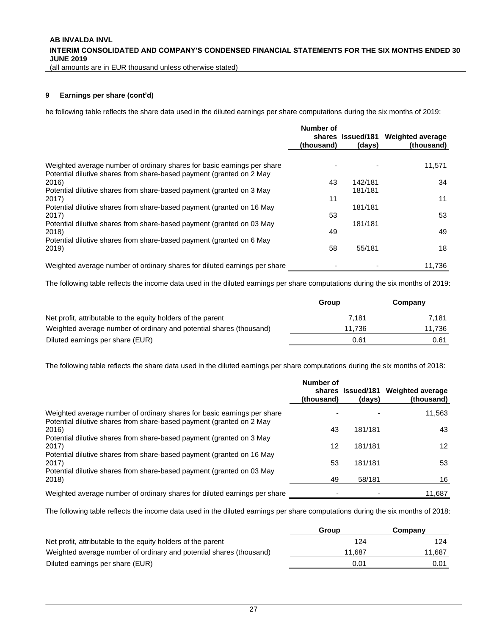(all amounts are in EUR thousand unless otherwise stated)

#### **[9](#page-25-0) Earnings per share (cont'd)**

he following table reflects the share data used in the diluted earnings per share computations during the six months of 2019:

|                                                                                                                                                 | Number of<br>(thousand) | shares Issued/181<br>(days) | <b>Weighted average</b><br>(thousand) |
|-------------------------------------------------------------------------------------------------------------------------------------------------|-------------------------|-----------------------------|---------------------------------------|
|                                                                                                                                                 |                         |                             |                                       |
| Weighted average number of ordinary shares for basic earnings per share<br>Potential dilutive shares from share-based payment (granted on 2 May |                         |                             | 11,571                                |
| 2016)                                                                                                                                           | 43                      | 142/181                     | 34                                    |
| Potential dilutive shares from share-based payment (granted on 3 May                                                                            |                         | 181/181                     |                                       |
| 2017)                                                                                                                                           | 11                      |                             | 11                                    |
| Potential dilutive shares from share-based payment (granted on 16 May                                                                           |                         | 181/181                     |                                       |
| 2017)                                                                                                                                           | 53                      |                             | 53                                    |
| Potential dilutive shares from share-based payment (granted on 03 May                                                                           |                         | 181/181                     |                                       |
| 2018)                                                                                                                                           | 49                      |                             | 49                                    |
| Potential dilutive shares from share-based payment (granted on 6 May                                                                            |                         |                             |                                       |
| 2019)                                                                                                                                           | 58                      | 55/181                      | 18                                    |
| Weighted average number of ordinary shares for diluted earnings per share                                                                       |                         |                             | 11.736                                |

The following table reflects the income data used in the diluted earnings per share computations during the six months of 2019:

|                                                                     | Group  | Company |
|---------------------------------------------------------------------|--------|---------|
| Net profit, attributable to the equity holders of the parent        | 7.181  | 7.181   |
| Weighted average number of ordinary and potential shares (thousand) | 11.736 | 11.736  |
| Diluted earnings per share (EUR)                                    | 0.61   | 0.61    |

The following table reflects the share data used in the diluted earnings per share computations during the six months of 2018:

|                                                                                                                                                        | Number of<br>(thousand) | shares Issued/181<br>(days) | <b>Weighted average</b><br>(thousand) |
|--------------------------------------------------------------------------------------------------------------------------------------------------------|-------------------------|-----------------------------|---------------------------------------|
| Weighted average number of ordinary shares for basic earnings per share<br>Potential dilutive shares from share-based payment (granted on 2 May        |                         |                             | 11,563                                |
| 2016)                                                                                                                                                  | 43                      | 181/181                     | 43                                    |
| Potential dilutive shares from share-based payment (granted on 3 May<br>2017)                                                                          | 12                      | 181/181                     | 12 <sup>2</sup>                       |
| Potential dilutive shares from share-based payment (granted on 16 May<br>2017<br>Potential dilutive shares from share-based payment (granted on 03 May | 53                      | 181/181                     | 53                                    |
| 2018)                                                                                                                                                  | 49                      | 58/181                      | 16                                    |
| Weighted average number of ordinary shares for diluted earnings per share                                                                              |                         |                             | 11,687                                |

The following table reflects the income data used in the diluted earnings per share computations during the six months of 2018:

|                                                                     | Group  | Company |
|---------------------------------------------------------------------|--------|---------|
| Net profit, attributable to the equity holders of the parent        | 124    | 124     |
| Weighted average number of ordinary and potential shares (thousand) | 11.687 | 11.687  |
| Diluted earnings per share (EUR)                                    | 0.01   | 0.01    |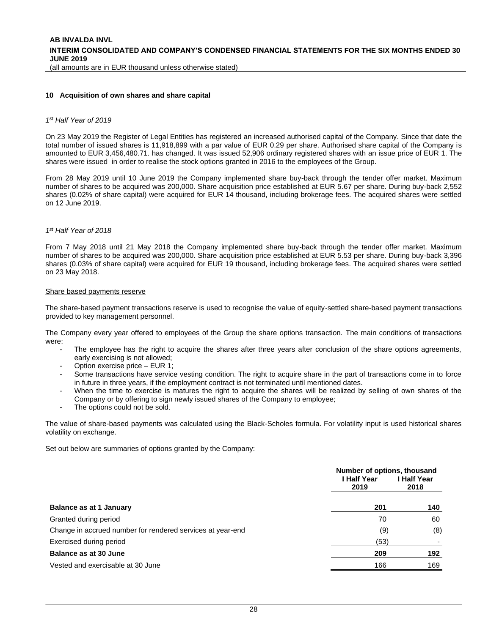#### <span id="page-27-1"></span><span id="page-27-0"></span>**10 Acquisition of own shares and share capital**

#### *1 st Half Year of 2019*

On 23 May 2019 the Register of Legal Entities has registered an increased authorised capital of the Company. Since that date the total number of issued shares is 11,918,899 with a par value of EUR 0.29 per share. Authorised share capital of the Company is amounted to EUR 3,456,480.71. has changed. It was issued 52,906 ordinary registered shares with an issue price of EUR 1. The shares were issued in order to realise the stock options granted in 2016 to the employees of the Group.

From 28 May 2019 until 10 June 2019 the Company implemented share buy-back through the tender offer market. Maximum number of shares to be acquired was 200,000. Share acquisition price established at EUR 5.67 per share. During buy-back 2,552 shares (0.02% of share capital) were acquired for EUR 14 thousand, including brokerage fees. The acquired shares were settled on 12 June 2019.

#### *1 st Half Year of 2018*

From 7 May 2018 until 21 May 2018 the Company implemented share buy-back through the tender offer market. Maximum number of shares to be acquired was 200,000. Share acquisition price established at EUR 5.53 per share. During buy-back 3,396 shares (0.03% of share capital) were acquired for EUR 19 thousand, including brokerage fees. The acquired shares were settled on 23 May 2018.

#### Share based payments reserve

The share-based payment transactions reserve is used to recognise the value of equity-settled share-based payment transactions provided to key management personnel.

The Company every year offered to employees of the Group the share options transaction. The main conditions of transactions were:

- The employee has the right to acquire the shares after three years after conclusion of the share options agreements, early exercising is not allowed;
- Option exercise price EUR 1;
- Some transactions have service vesting condition. The right to acquire share in the part of transactions come in to force in future in three years, if the employment contract is not terminated until mentioned dates.
- When the time to exercise is matures the right to acquire the shares will be realized by selling of own shares of the Company or by offering to sign newly issued shares of the Company to employee;
- The options could not be sold.

The value of share-based payments was calculated using the Black-Scholes formula. For volatility input is used historical shares volatility on exchange.

Set out below are summaries of options granted by the Company:

|                                                            | Number of options, thousand<br>l Half Year<br>2019 | I Half Year<br>2018 |
|------------------------------------------------------------|----------------------------------------------------|---------------------|
| <b>Balance as at 1 January</b>                             | 201                                                | 140                 |
| Granted during period                                      | 70                                                 | 60                  |
| Change in accrued number for rendered services at year-end | (9)                                                | (8)                 |
| Exercised during period                                    | (53)                                               |                     |
| Balance as at 30 June                                      | 209                                                | 192                 |
| Vested and exercisable at 30 June                          | 166                                                | 169                 |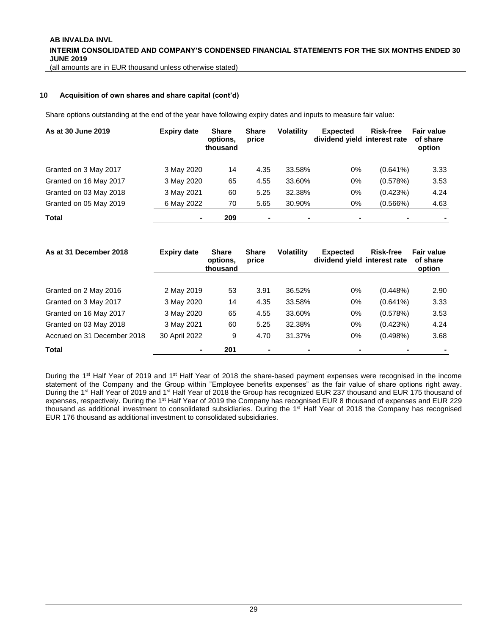#### **[10](#page-27-0) Acquisition of own shares and share capital (cont'd)**

Share options outstanding at the end of the year have following expiry dates and inputs to measure fair value:

| As at 30 June 2019     | <b>Expiry date</b> | <b>Share</b><br>options.<br>thousand | <b>Share</b><br>price | <b>Volatility</b> | <b>Expected</b><br>dividend yield interest rate | <b>Risk-free</b> | <b>Fair value</b><br>of share<br>option |
|------------------------|--------------------|--------------------------------------|-----------------------|-------------------|-------------------------------------------------|------------------|-----------------------------------------|
| Granted on 3 May 2017  | 3 May 2020         | 14                                   | 4.35                  | 33.58%            | 0%                                              | $(0.641\%)$      | 3.33                                    |
| Granted on 16 May 2017 | 3 May 2020         | 65                                   | 4.55                  | 33.60%            | $0\%$                                           | (0.578%)         | 3.53                                    |
| Granted on 03 May 2018 | 3 May 2021         | 60                                   | 5.25                  | 32.38%            | 0%                                              | (0.423%)         | 4.24                                    |
| Granted on 05 May 2019 | 6 May 2022         | 70                                   | 5.65                  | 30.90%            | 0%                                              | (0.566%)         | 4.63                                    |
| <b>Total</b>           |                    | 209                                  | $\blacksquare$        |                   | $\blacksquare$                                  |                  |                                         |

| As at 31 December 2018      | <b>Expiry date</b> | <b>Share</b><br>options.<br>thousand | <b>Share</b><br>price | <b>Volatility</b> | <b>Expected</b><br>dividend yield interest rate | Risk-free   | <b>Fair value</b><br>of share<br>option |
|-----------------------------|--------------------|--------------------------------------|-----------------------|-------------------|-------------------------------------------------|-------------|-----------------------------------------|
| Granted on 2 May 2016       | 2 May 2019         | 53                                   | 3.91                  | 36.52%            | $0\%$                                           | (0.448%)    | 2.90                                    |
| Granted on 3 May 2017       | 3 May 2020         | 14                                   | 4.35                  | 33.58%            | $0\%$                                           | $(0.641\%)$ | 3.33                                    |
| Granted on 16 May 2017      | 3 May 2020         | 65                                   | 4.55                  | 33.60%            | $0\%$                                           | (0.578%)    | 3.53                                    |
| Granted on 03 May 2018      | 3 May 2021         | 60                                   | 5.25                  | 32.38%            | $0\%$                                           | (0.423%)    | 4.24                                    |
| Accrued on 31 December 2018 | 30 April 2022      | 9                                    | 4.70                  | 31.37%            | 0%                                              | $(0.498\%)$ | 3.68                                    |
| <b>Total</b>                |                    | 201                                  | $\blacksquare$        |                   | $\blacksquare$                                  |             |                                         |

During the 1<sup>st</sup> Half Year of 2019 and 1<sup>st</sup> Half Year of 2018 the share-based payment expenses were recognised in the income statement of the Company and the Group within "Employee benefits expenses" as the fair value of share options right away. During the 1<sup>st</sup> Half Year of 2019 and 1<sup>st</sup> Half Year of 2018 the Group has recognized EUR 237 thousand and EUR 175 thousand of expenses, respectively. During the 1<sup>st</sup> Half Year of 2019 the Company has recognised EUR 8 thousand of expenses and EUR 229 thousand as additional investment to consolidated subsidiaries. During the 1st Half Year of 2018 the Company has recognised EUR 176 thousand as additional investment to consolidated subsidiaries.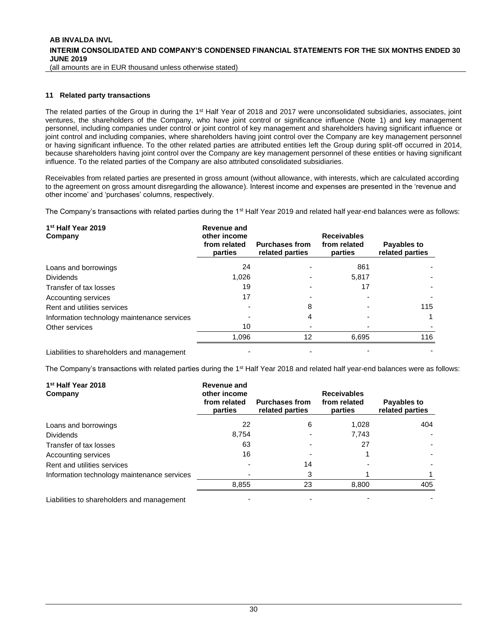#### <span id="page-29-0"></span>**11 Related party transactions**

The related parties of the Group in during the 1<sup>st</sup> Half Year of 2018 and 2017 were unconsolidated subsidiaries, associates, joint ventures, the shareholders of the Company, who have joint control or significance influence (Note [1\)](#page-10-0) and key management personnel, including companies under control or joint control of key management and shareholders having significant influence or joint control and including companies, where shareholders having joint control over the Company are key management personnel or having significant influence. To the other related parties are attributed entities left the Group during split-off occurred in 2014, because shareholders having joint control over the Company are key management personnel of these entities or having significant influence. To the related parties of the Company are also attributed consolidated subsidiaries.

Receivables from related parties are presented in gross amount (without allowance, with interests, which are calculated according to the agreement on gross amount disregarding the allowance). Interest income and expenses are presented in the 'revenue and other income' and 'purchases' columns, respectively.

The Company's transactions with related parties during the 1<sup>st</sup> Half Year 2019 and related half year-end balances were as follows:

| 1 <sup>st</sup> Half Year 2019<br>Company   | <b>Revenue and</b><br>other income<br>from related<br>parties | <b>Purchases from</b><br>related parties | <b>Receivables</b><br>from related<br>parties | Payables to<br>related parties |
|---------------------------------------------|---------------------------------------------------------------|------------------------------------------|-----------------------------------------------|--------------------------------|
| Loans and borrowings                        | 24                                                            |                                          | 861                                           |                                |
| <b>Dividends</b>                            | 1.026                                                         |                                          | 5.817                                         |                                |
| Transfer of tax losses                      | 19                                                            |                                          | 17                                            |                                |
| Accounting services                         | 17                                                            |                                          |                                               |                                |
| Rent and utilities services                 |                                                               | 8                                        |                                               | 115                            |
| Information technology maintenance services |                                                               | 4                                        |                                               |                                |
| Other services                              | 10                                                            |                                          |                                               |                                |
|                                             | 1,096                                                         | 12                                       | 6,695                                         | 116                            |
| Liabilities to shareholders and management  |                                                               |                                          |                                               |                                |

The Company's transactions with related parties during the 1<sup>st</sup> Half Year 2018 and related half year-end balances were as follows:

| 1 <sup>st</sup> Half Year 2018<br>Company   | Revenue and<br>other income<br>from related<br>parties | <b>Purchases from</b><br>related parties | <b>Receivables</b><br>from related<br>parties | Payables to<br>related parties |
|---------------------------------------------|--------------------------------------------------------|------------------------------------------|-----------------------------------------------|--------------------------------|
| Loans and borrowings                        | 22                                                     | 6                                        | 1.028                                         | 404                            |
| <b>Dividends</b>                            | 8.754                                                  |                                          | 7.743                                         |                                |
| Transfer of tax losses                      | 63                                                     |                                          | 27                                            |                                |
| Accounting services                         | 16                                                     |                                          |                                               |                                |
| Rent and utilities services                 |                                                        | 14                                       |                                               |                                |
| Information technology maintenance services |                                                        | 3                                        |                                               |                                |
|                                             | 8.855                                                  | 23                                       | 8,800                                         | 405                            |
| Liabilities to shareholders and management  |                                                        |                                          |                                               |                                |